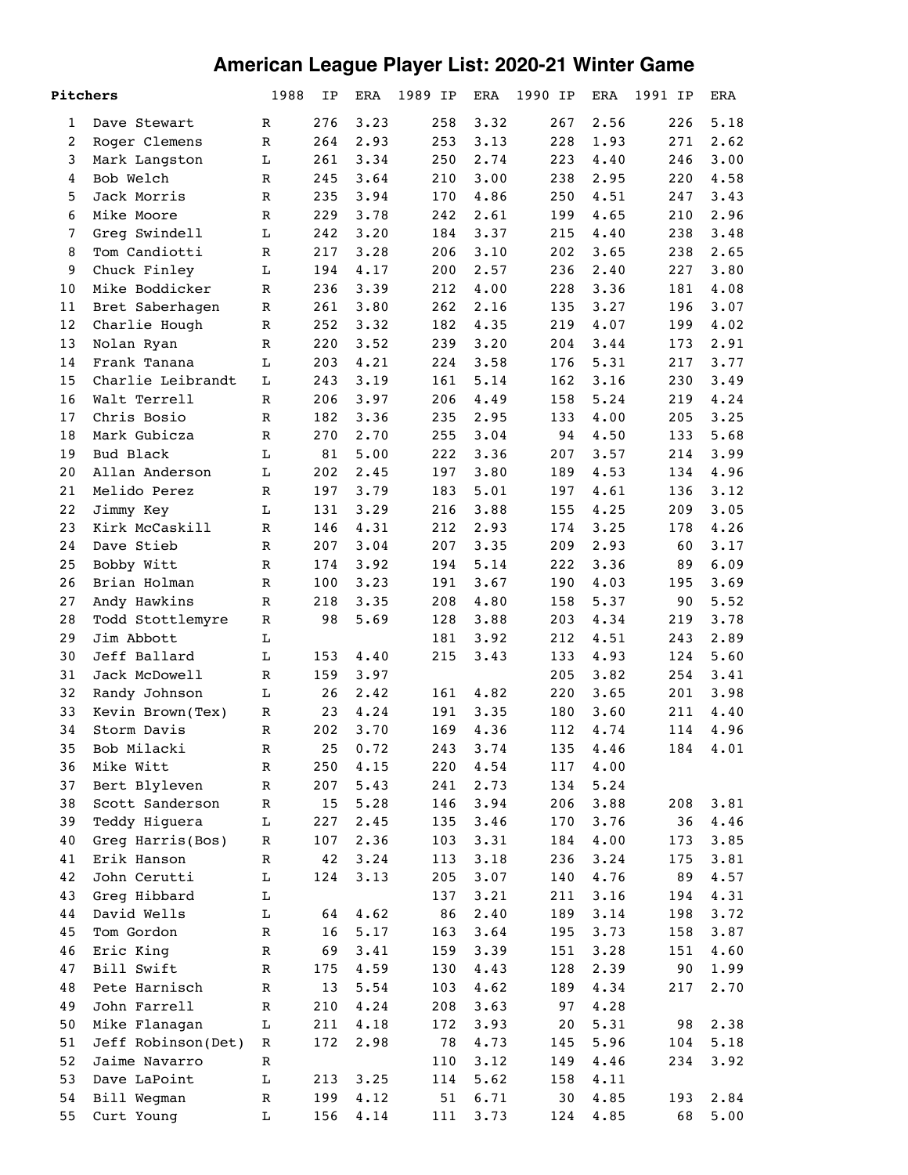## **American League Player List: 2020-21 Winter Game**

| Pitchers       |                    | 1988          | ΙP  | <b>ERA</b>                                    | 1989 IP | <b>ERA</b> | 1990 IP | ERA  | 1991 IP | ERA  |
|----------------|--------------------|---------------|-----|-----------------------------------------------|---------|------------|---------|------|---------|------|
| 1              | Dave Stewart       | $\mathbb R$   | 276 | 3.23                                          | 258     | 3.32       | 267     | 2.56 | 226     | 5.18 |
| $\overline{2}$ | Roger Clemens      | $\mathbb R$   | 264 | 2.93                                          | 253     | 3.13       | 228     | 1.93 | 271     | 2.62 |
| 3              | Mark Langston      | L             | 261 | 3.34                                          | 250     | 2.74       | 223     | 4.40 | 246     | 3.00 |
| 4              | Bob Welch          | R             | 245 | 3.64                                          | 210     | 3.00       | 238     | 2.95 | 220     | 4.58 |
| 5              | Jack Morris        | $\mathbb R$   | 235 | 3.94                                          | 170     | 4.86       | 250     | 4.51 | 247     | 3.43 |
| 6              | Mike Moore         | $\mathbb R$   | 229 | 3.78                                          | 242     | 2.61       | 199     | 4.65 | 210     | 2.96 |
| 7              | Greg Swindell      | L             | 242 | 3.20                                          | 184     | 3.37       | 215     | 4.40 | 238     | 3.48 |
| 8              | Tom Candiotti      | $\mathbb R$   | 217 | 3.28                                          | 206     | 3.10       | 202     | 3.65 | 238     | 2.65 |
| 9              | Chuck Finley       | L             | 194 | 4.17                                          | 200     | 2.57       | 236     | 2.40 | 227     | 3.80 |
| 10             | Mike Boddicker     | $\mathbb R$   | 236 | 3.39                                          | 212     | 4.00       | 228     | 3.36 | 181     | 4.08 |
| 11             | Bret Saberhagen    | $\mathbb R$   | 261 | 3.80                                          | 262     | 2.16       | 135     | 3.27 | 196     | 3.07 |
| 12             | Charlie Hough      | ${\bf R}$     | 252 | 3.32                                          | 182     | 4.35       | 219     | 4.07 | 199     | 4.02 |
| 13             | Nolan Ryan         | $\mathbb R$   | 220 | 3.52                                          | 239     | 3.20       | 204     | 3.44 | 173     | 2.91 |
| 14             | Frank Tanana       | L             | 203 | 4.21                                          | 224     | 3.58       | 176     | 5.31 | 217     | 3.77 |
| 15             | Charlie Leibrandt  | L             | 243 | 3.19                                          | 161     | 5.14       | 162     | 3.16 | 230     | 3.49 |
| 16             | Walt Terrell       | R             | 206 | 3.97                                          | 206     | 4.49       | 158     | 5.24 | 219     | 4.24 |
| 17             | Chris Bosio        | $\mathbb R$   | 182 | 3.36                                          | 235     | 2.95       | 133     | 4.00 | 205     | 3.25 |
| 18             | Mark Gubicza       | ${\bf R}$     | 270 | 2.70                                          | 255     | 3.04       | 94      | 4.50 | 133     | 5.68 |
| 19             | Bud Black          | L             | 81  | 5.00                                          | 222     | 3.36       | 207     | 3.57 | 214     | 3.99 |
| 20             | Allan Anderson     | L             | 202 | 2.45                                          | 197     | 3.80       | 189     | 4.53 | 134     | 4.96 |
| 21             | Melido Perez       | $\mathbb R$   | 197 | 3.79                                          | 183     | 5.01       | 197     | 4.61 | 136     | 3.12 |
| 22             | Jimmy Key          | L             | 131 | 3.29                                          | 216     | 3.88       | 155     | 4.25 | 209     | 3.05 |
| 23             | Kirk McCaskill     | $\mathbb R$   | 146 | 4.31                                          | 212     | 2.93       | 174     | 3.25 | 178     | 4.26 |
| 24             | Dave Stieb         | $\mathbb R$   | 207 | 3.04                                          | 207     | 3.35       | 209     | 2.93 | 60      | 3.17 |
| 25             | Bobby Witt         | $\mathbb R$   | 174 | 3.92                                          | 194     | 5.14       | 222     | 3.36 | 89      | 6.09 |
| 26             | Brian Holman       | R             | 100 | 3.23                                          | 191     | 3.67       | 190     | 4.03 | 195     | 3.69 |
| 27             | Andy Hawkins       | R             | 218 | 3.35                                          | 208     | 4.80       | 158     | 5.37 | 90      | 5.52 |
| 28             | Todd Stottlemyre   | R             | 98  | 5.69                                          | 128     | 3.88       | 203     | 4.34 | 219     | 3.78 |
| 29             | Jim Abbott         | L             |     |                                               | 181     | 3.92       | 212     | 4.51 | 243     | 2.89 |
| 30             | Jeff Ballard       | L             | 153 | 4.40                                          | 215     | 3.43       | 133     | 4.93 | 124     | 5.60 |
| 31             | Jack McDowell      | $\mathbb R$   | 159 | 3.97                                          |         |            | 205     | 3.82 | 254     | 3.41 |
| 32             | Randy Johnson      | L             | 26  | 2.42                                          | 161     | 4.82       | 220     | 3.65 | 201     | 3.98 |
| 33             | Kevin Brown(Tex)   | R             | 23  | 4.24                                          | 191     | 3.35       | 180     | 3.60 | 211     | 4.40 |
| 34             | Storm Davis        | R             | 202 | 3.70                                          | 169     | 4.36       | 112     | 4.74 | 114     | 4.96 |
| 35             | Bob Milacki        | ${\mathbb R}$ | 25  | 0.72                                          | 243     | 3.74       | 135     | 4.46 | 184     | 4.01 |
| 36             | Mike Witt          | R             | 250 | 4.15                                          | 220     | 4.54       | 117     | 4.00 |         |      |
| 37             | Bert Blyleven      | R             | 207 | 5.43                                          | 241     | 2.73       | 134     | 5.24 |         |      |
| 38             | Scott Sanderson    | R             | 15  | 5.28                                          | 146     | 3.94       | 206     | 3.88 | 208     | 3.81 |
| 39             | Teddy Higuera      | L             | 227 | 2.45                                          | 135     | 3.46       | 170     | 3.76 | 36      | 4.46 |
| 40             | Greg Harris(Bos)   | R             | 107 | 2.36                                          | 103     | 3.31       | 184     | 4.00 | 173     | 3.85 |
| 41             | Erik Hanson        | ${\mathbb R}$ | 42  | 3.24                                          | 113     | 3.18       | 236     | 3.24 | 175     | 3.81 |
| 42             | John Cerutti       | $\mathbf L$   | 124 | 3.13                                          | 205     | 3.07       | 140     | 4.76 | 89      | 4.57 |
| 43             | Greg Hibbard       | L             |     |                                               | 137     | 3.21       | 211     | 3.16 | 194     | 4.31 |
| 44             | David Wells        | L             | 64  | 4.62                                          | 86      | 2.40       | 189     | 3.14 | 198     | 3.72 |
| 45             | Tom Gordon         | R             | 16  | 5.17                                          | 163     | 3.64       | 195     | 3.73 | 158     | 3.87 |
| 46             | Eric King          | R             | 69  | 3.41                                          | 159     | 3.39       | 151     | 3.28 | 151     | 4.60 |
| 47             | Bill Swift         | $\mathbb R$   | 175 | 4.59                                          | 130     | 4.43       | 128     | 2.39 | 90      | 1.99 |
| 48             | Pete Harnisch      | $\mathbb R$   | 13  | 5.54                                          | 103     | 4.62       | 189     | 4.34 | 217     | 2.70 |
| 49             | John Farrell       | ${\bf R}$     | 210 | 4.24                                          | 208     | 3.63       | 97      | 4.28 |         |      |
| 50             | Mike Flanagan      | L             | 211 | 4.18                                          | 172     | 3.93       | 20      | 5.31 | 98      | 2.38 |
| 51             | Jeff Robinson(Det) | R             | 172 | 2.98                                          | 78      | 4.73       | 145     | 5.96 | 104     | 5.18 |
| 52             | Jaime Navarro      | R             |     |                                               | 110     | 3.12       | 149     | 4.46 | 234     | 3.92 |
| 53             | Dave LaPoint       | L             | 213 | 3.25                                          | 114     | 5.62       | 158     | 4.11 |         |      |
| 54             | Bill Wegman        | R             | 199 | 4.12                                          | 51      | 6.71       | 30      | 4.85 | 193     | 2.84 |
| 55             | Curt Young         | L             | 156 | $4\,\raisebox{1pt}{\text{\circle*{1.5}}}\,14$ | 111     | 3.73       | 124     | 4.85 | 68      | 5.00 |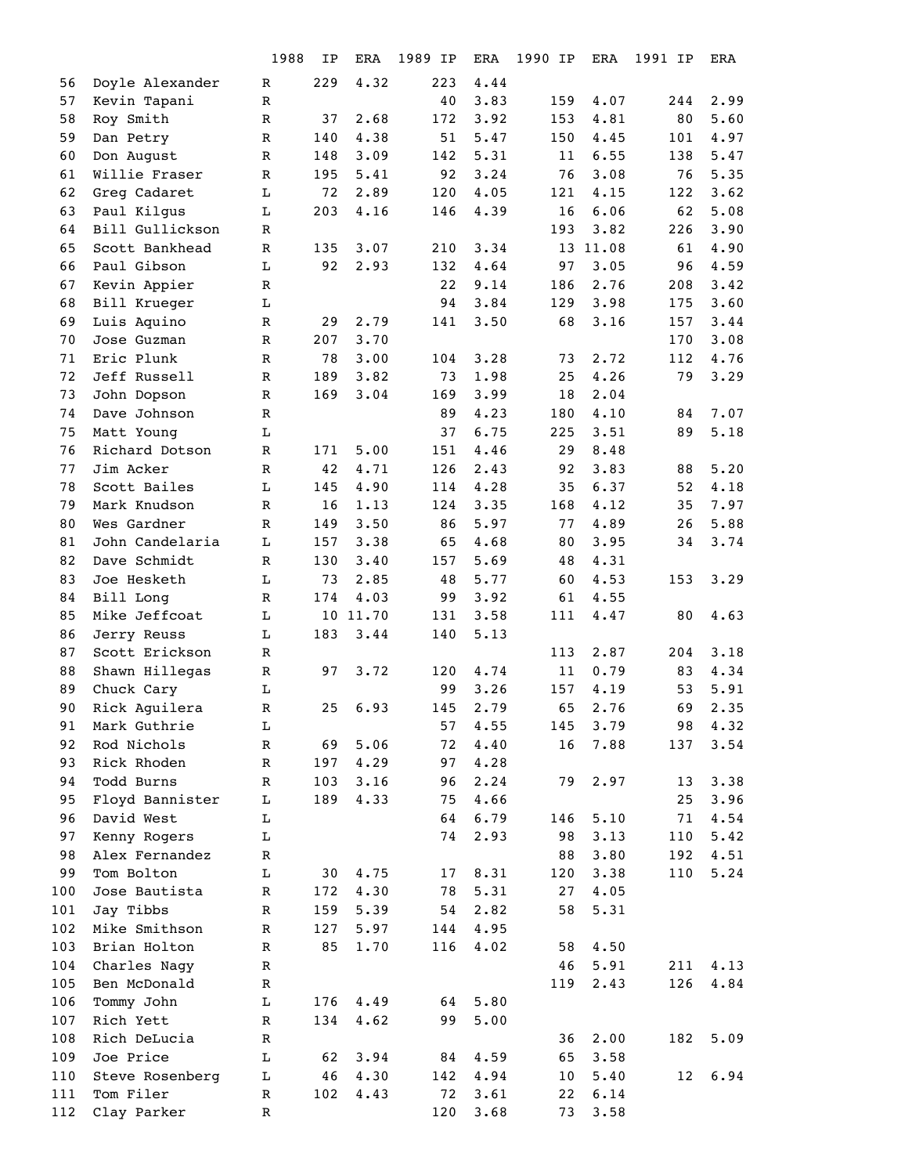|     |                              | 1988          | ΙP  | ERA      | 1989 IP   | ERA  | 1990 IP | ERA      | 1991 IP | <b>ERA</b> |
|-----|------------------------------|---------------|-----|----------|-----------|------|---------|----------|---------|------------|
| 56  | Doyle Alexander              | R             | 229 | 4.32     | 223       | 4.44 |         |          |         |            |
| 57  | Kevin Tapani                 | ${\bf R}$     |     |          | 40        | 3.83 | 159     | 4.07     | 244     | 2.99       |
| 58  | Roy Smith                    | ${\bf R}$     | 37  | 2.68     | 172       | 3.92 | 153     | 4.81     | 80      | 5.60       |
| 59  | Dan Petry                    | $\mathbb R$   | 140 | 4.38     | 51        | 5.47 | 150     | 4.45     | 101     | 4.97       |
| 60  | Don August                   | ${\mathbb R}$ | 148 | 3.09     | 142       | 5.31 | 11      | 6.55     | 138     | 5.47       |
| 61  | Willie Fraser                | ${\mathbb R}$ | 195 | 5.41     | 92        | 3.24 | 76      | 3.08     | 76      | 5.35       |
| 62  | Greg Cadaret                 | L             | 72  | 2.89     | 120       | 4.05 | 121     | 4.15     | 122     | 3.62       |
| 63  | Paul Kilgus                  | L             | 203 | 4.16     | 146       | 4.39 | 16      | 6.06     | 62      | 5.08       |
| 64  | Bill Gullickson              | R             |     |          |           |      | 193     | 3.82     | 226     | 3.90       |
| 65  | Scott Bankhead               | R             | 135 | 3.07     | 210       | 3.34 |         | 13 11.08 | 61      | 4.90       |
| 66  | Paul Gibson                  | L             | 92  | 2.93     | 132       | 4.64 | 97      | 3.05     | 96      | 4.59       |
| 67  | Kevin Appier                 | $\mathbb R$   |     |          | 22        | 9.14 | 186     | 2.76     | 208     | 3.42       |
| 68  | Bill Krueger                 | L             |     |          | 94        | 3.84 | 129     | 3.98     | 175     | 3.60       |
| 69  | Luis Aquino                  | $\mathbb R$   | 29  | 2.79     | 141       | 3.50 | 68      | 3.16     | 157     | 3.44       |
| 70  | Jose Guzman                  | R             | 207 | 3.70     |           |      |         |          | 170     | 3.08       |
| 71  | Eric Plunk                   | $\mathbb R$   | 78  | 3.00     | 104       | 3.28 | 73      | 2.72     | 112     | 4.76       |
| 72  | Jeff Russell                 | R             | 189 | 3.82     | 73        | 1.98 | 25      | 4.26     | 79      | 3.29       |
| 73  | John Dopson                  | R             | 169 | 3.04     | 169       | 3.99 | 18      | 2.04     |         |            |
| 74  | Dave Johnson                 | $\mathbb R$   |     |          | 89        | 4.23 | 180     | 4.10     | 84      | 7.07       |
| 75  | Matt Young                   | Г             |     |          | 37        | 6.75 | 225     | 3.51     | 89      | 5.18       |
| 76  | Richard Dotson               | $\mathbb R$   | 171 | 5.00     | 151       | 4.46 | 29      | 8.48     |         |            |
| 77  | Jim Acker                    | $\mathbb R$   | 42  | 4.71     | 126       | 2.43 | 92      | 3.83     | 88      | 5.20       |
| 78  | Scott Bailes                 | Г             | 145 | 4.90     | 114       | 4.28 | 35      | 6.37     | 52      | 4.18       |
| 79  | Mark Knudson                 | R             | 16  | 1.13     | 124       | 3.35 | 168     | 4.12     | 35      | 7.97       |
| 80  | Wes Gardner                  | ${\bf R}$     | 149 | 3.50     | 86        | 5.97 | 77      | 4.89     | 26      | 5.88       |
| 81  | John Candelaria              | L             | 157 | 3.38     | 65        | 4.68 | 80      | 3.95     | 34      | 3.74       |
| 82  | Dave Schmidt                 | $\mathbb R$   | 130 | 3.40     | 157       | 5.69 | 48      | 4.31     |         |            |
| 83  | Joe Hesketh                  | L             | 73  | 2.85     | 48        | 5.77 | 60      | 4.53     | 153     | 3.29       |
| 84  | Bill Long                    | R             | 174 | 4.03     | 99        | 3.92 | 61      | 4.55     |         |            |
| 85  | Mike Jeffcoat                | L             |     | 10 11.70 | 131       | 3.58 | 111     | 4.47     | 80      | 4.63       |
| 86  | Jerry Reuss                  | L             | 183 | 3.44     | 140       | 5.13 |         |          |         |            |
| 87  | Scott Erickson               | $\mathbb R$   |     |          |           |      | 113     | 2.87     | 204     | 3.18       |
| 88  | Shawn Hillegas               | $\mathbb R$   | 97  | 3.72     | 120       | 4.74 | 11      | 0.79     | 83      | 4.34       |
| 89  | Chuck Cary                   | L             |     |          | 99        | 3.26 | 157     | 4.19     | 53      | 5.91       |
| 90  | Rick Aguilera                | R             | 25  | 6.93     | 145       | 2.79 | 65      | 2.76     | 69      | 2.35       |
| 91  | Mark Guthrie                 | Г             |     |          | 57        | 4.55 | 145     | 3.79     | 98      | 4.32       |
| 92  | Rod Nichols                  | $\mathbb R$   | 69  | 5.06     | 72        | 4.40 | 16      | 7.88     | 137     | 3.54       |
| 93  | Rick Rhoden                  | $\mathbb R$   | 197 | 4.29     | 97        | 4.28 |         |          |         |            |
| 94  | Todd Burns                   | $\mathbb R$   | 103 | 3.16     | 96        | 2.24 | 79      | 2.97     | 13      | 3.38       |
| 95  | Floyd Bannister              | L             | 189 | 4.33     | 75        | 4.66 |         |          | 25      | 3.96       |
| 96  | David West                   | L             |     |          | 64        | 6.79 | 146     | 5.10     | 71      | 4.54       |
| 97  | Kenny Rogers                 | L             |     |          | 74        | 2.93 | 98      | 3.13     | 110     | 5.42       |
| 98  | Alex Fernandez               | $\mathbb R$   |     |          |           |      | 88      | 3.80     | 192     | 4.51       |
| 99  | Tom Bolton                   | L             | 30  | 4.75     | 17        | 8.31 | 120     | 3.38     | 110     | 5.24       |
| 100 | Jose Bautista                | $\mathbb R$   | 172 | 4.30     | 78        | 5.31 | 27      | 4.05     |         |            |
| 101 | Jay Tibbs                    | R             | 159 | 5.39     | 54        | 2.82 | 58      | 5.31     |         |            |
| 102 | Mike Smithson                | R             | 127 | 5.97     | 144       | 4.95 |         |          |         |            |
| 103 | Brian Holton                 | ${\mathbb R}$ | 85  | 1.70     | 116       | 4.02 | 58      | 4.50     |         |            |
| 104 | Charles Nagy                 | $\mathbb R$   |     |          |           |      | 46      | 5.91     | 211     | 4.13       |
| 105 | Ben McDonald                 | R             |     |          |           |      | 119     | 2.43     | 126     | 4.84       |
| 106 | Tommy John                   | L             | 176 | 4.49     | 64        | 5.80 |         |          |         |            |
| 107 | Rich Yett                    | R             | 134 | 4.62     | 99        | 5.00 |         |          |         |            |
| 108 | Rich DeLucia                 | R             |     |          |           |      | 36      | 2.00     | 182     | 5.09       |
| 109 | Joe Price                    | L             | 62  | 3.94     | 84        | 4.59 | 65      | 3.58     |         |            |
| 110 | Steve Rosenberg<br>Tom Filer | L             | 46  | 4.30     | 142<br>72 | 4.94 | 10      | 5.40     | 12      | 6.94       |
| 111 |                              | R<br>R        | 102 | 4.43     | 120       | 3.61 | 22      | 6.14     |         |            |
| 112 | Clay Parker                  |               |     |          |           | 3.68 | 73      | 3.58     |         |            |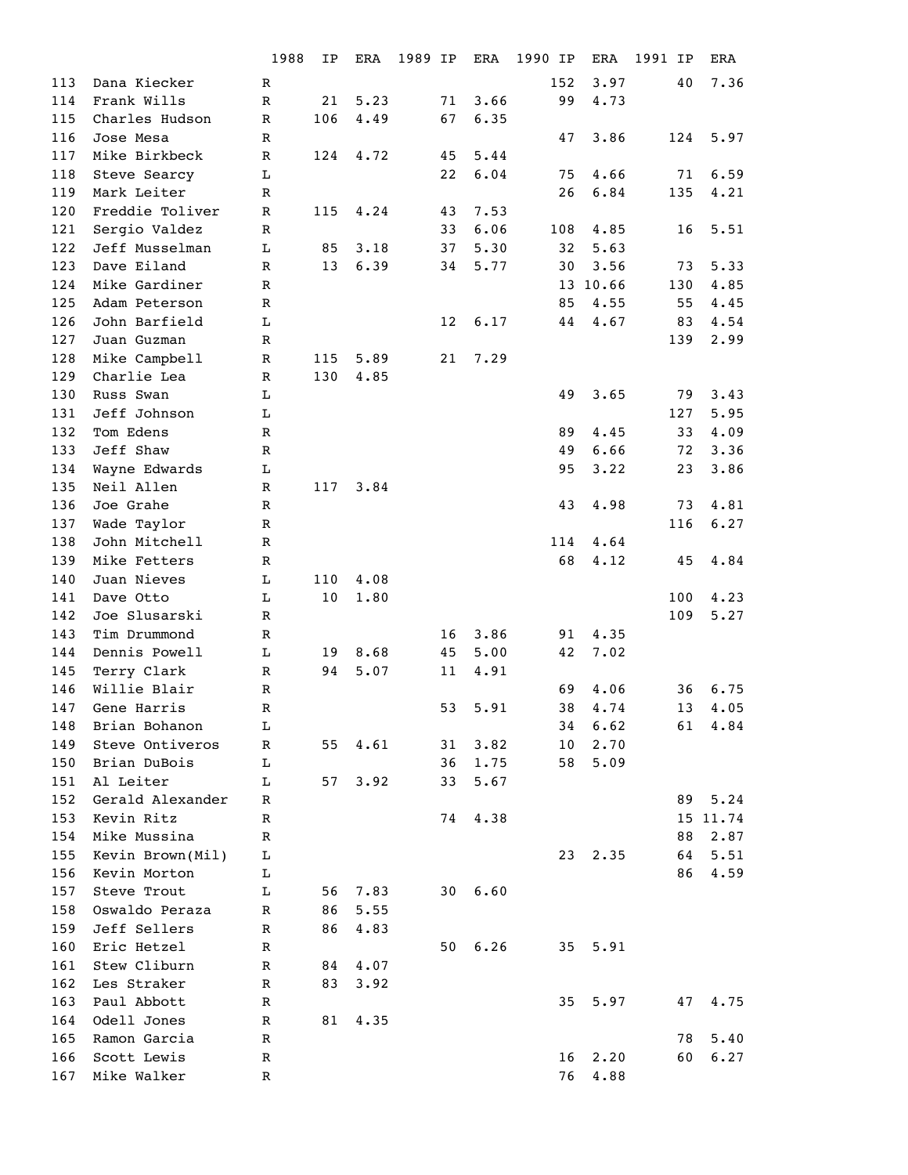|     |                  | 1988         | IP  | ERA  | 1989 IP |    | ERA  | 1990 IP | ERA      | 1991 IP | ERA      |
|-----|------------------|--------------|-----|------|---------|----|------|---------|----------|---------|----------|
| 113 | Dana Kiecker     | R            |     |      |         |    |      | 152     | 3.97     | 40      | 7.36     |
| 114 | Frank Wills      | $\mathbb R$  | 21  | 5.23 |         | 71 | 3.66 | 99      | 4.73     |         |          |
| 115 | Charles Hudson   | $\mathbb{R}$ | 106 | 4.49 |         | 67 | 6.35 |         |          |         |          |
| 116 | Jose Mesa        | R            |     |      |         |    |      | 47      | 3.86     | 124     | 5.97     |
| 117 | Mike Birkbeck    | $\mathbb R$  | 124 | 4.72 |         | 45 | 5.44 |         |          |         |          |
| 118 | Steve Searcy     | L            |     |      |         | 22 | 6.04 | 75      | 4.66     | 71      | 6.59     |
| 119 | Mark Leiter      | R            |     |      |         |    |      | 26      | 6.84     | 135     | 4.21     |
| 120 | Freddie Toliver  | $\mathbb R$  | 115 | 4.24 |         | 43 | 7.53 |         |          |         |          |
| 121 | Sergio Valdez    | R            |     |      |         | 33 | 6.06 | 108     | 4.85     | 16      | 5.51     |
| 122 | Jeff Musselman   | L            | 85  | 3.18 |         | 37 | 5.30 | 32      | 5.63     |         |          |
| 123 | Dave Eiland      | $\mathbb R$  | 13  | 6.39 |         | 34 | 5.77 | 30      | 3.56     | 73      | 5.33     |
| 124 | Mike Gardiner    | R            |     |      |         |    |      |         | 13 10.66 | 130     | 4.85     |
| 125 | Adam Peterson    | $\mathbb R$  |     |      |         |    |      | 85      | 4.55     | 55      | 4.45     |
| 126 | John Barfield    | L            |     |      |         | 12 | 6.17 | 44      | 4.67     | 83      | 4.54     |
| 127 | Juan Guzman      | $\mathbb R$  |     |      |         |    |      |         |          | 139     | 2.99     |
| 128 | Mike Campbell    | $\mathbb R$  | 115 | 5.89 |         | 21 | 7.29 |         |          |         |          |
| 129 | Charlie Lea      | R            | 130 | 4.85 |         |    |      |         |          |         |          |
| 130 | Russ Swan        | L            |     |      |         |    |      | 49      | 3.65     | 79      | 3.43     |
| 131 | Jeff Johnson     | L            |     |      |         |    |      |         |          | 127     | 5.95     |
| 132 | Tom Edens        | $\mathbb{R}$ |     |      |         |    |      | 89      | 4.45     | 33      | 4.09     |
| 133 | Jeff Shaw        | $\mathbb R$  |     |      |         |    |      | 49      | 6.66     | 72      | 3.36     |
| 134 | Wayne Edwards    | L            |     |      |         |    |      | 95      | 3.22     | 23      | 3.86     |
| 135 | Neil Allen       | R            | 117 | 3.84 |         |    |      |         |          |         |          |
| 136 | Joe Grahe        | R            |     |      |         |    |      | 43      | 4.98     | 73      | 4.81     |
| 137 | Wade Taylor      | $\mathbb R$  |     |      |         |    |      |         |          | 116     | 6.27     |
| 138 | John Mitchell    | R            |     |      |         |    |      | 114     | 4.64     |         |          |
| 139 | Mike Fetters     | R            |     |      |         |    |      | 68      | 4.12     | 45      | 4.84     |
| 140 | Juan Nieves      | L            | 110 | 4.08 |         |    |      |         |          |         |          |
| 141 | Dave Otto        | L            | 10  | 1.80 |         |    |      |         |          | 100     | 4.23     |
| 142 | Joe Slusarski    | R            |     |      |         |    |      |         |          | 109     | 5.27     |
| 143 | Tim Drummond     | $\mathbb{R}$ |     |      |         | 16 | 3.86 | 91      | 4.35     |         |          |
| 144 | Dennis Powell    | $\mathbf L$  | 19  | 8.68 |         | 45 | 5.00 | 42      | 7.02     |         |          |
| 145 | Terry Clark      | R            | 94  | 5.07 |         | 11 | 4.91 |         |          |         |          |
| 146 | Willie Blair     | R            |     |      |         |    |      | 69      | 4.06     | 36      | 6.75     |
| 147 | Gene Harris      | R            |     |      |         | 53 | 5.91 | 38      | 4.74     | 13      | 4.05     |
| 148 | Brian Bohanon    | L            |     |      |         |    |      | 34      | 6.62     | 61      | 4.84     |
| 149 | Steve Ontiveros  | R            | 55  | 4.61 |         | 31 | 3.82 | 10      | 2.70     |         |          |
| 150 | Brian DuBois     | L            |     |      |         | 36 | 1.75 | 58      | 5.09     |         |          |
| 151 | Al Leiter        | L            | 57  | 3.92 |         | 33 | 5.67 |         |          |         |          |
| 152 | Gerald Alexander | R            |     |      |         |    |      |         |          | 89      | 5.24     |
| 153 | Kevin Ritz       | R            |     |      |         | 74 | 4.38 |         |          |         | 15 11.74 |
| 154 | Mike Mussina     | R            |     |      |         |    |      |         |          | 88      | 2.87     |
| 155 | Kevin Brown(Mil) | L            |     |      |         |    |      | 23      | 2.35     | 64      | 5.51     |
| 156 | Kevin Morton     | L            |     |      |         |    |      |         |          | 86      | 4.59     |
| 157 | Steve Trout      | L            | 56  | 7.83 |         | 30 | 6.60 |         |          |         |          |
| 158 | Oswaldo Peraza   | $\mathbb R$  | 86  | 5.55 |         |    |      |         |          |         |          |
| 159 | Jeff Sellers     | R            | 86  | 4.83 |         |    |      |         |          |         |          |
| 160 | Eric Hetzel      | R            |     |      |         | 50 | 6.26 | 35      | 5.91     |         |          |
| 161 | Stew Cliburn     | $\mathbb R$  | 84  | 4.07 |         |    |      |         |          |         |          |
| 162 | Les Straker      | R            | 83  | 3.92 |         |    |      |         |          |         |          |
| 163 | Paul Abbott      | R            |     |      |         |    |      | 35      | 5.97     | 47      | 4.75     |
| 164 | Odell Jones      | R            | 81  | 4.35 |         |    |      |         |          |         |          |
| 165 | Ramon Garcia     | R            |     |      |         |    |      |         |          | 78      | 5.40     |
| 166 | Scott Lewis      | R            |     |      |         |    |      | 16      | 2.20     | 60      | 6.27     |
| 167 | Mike Walker      |              |     |      |         |    |      | 76      | 4.88     |         |          |
|     |                  | R            |     |      |         |    |      |         |          |         |          |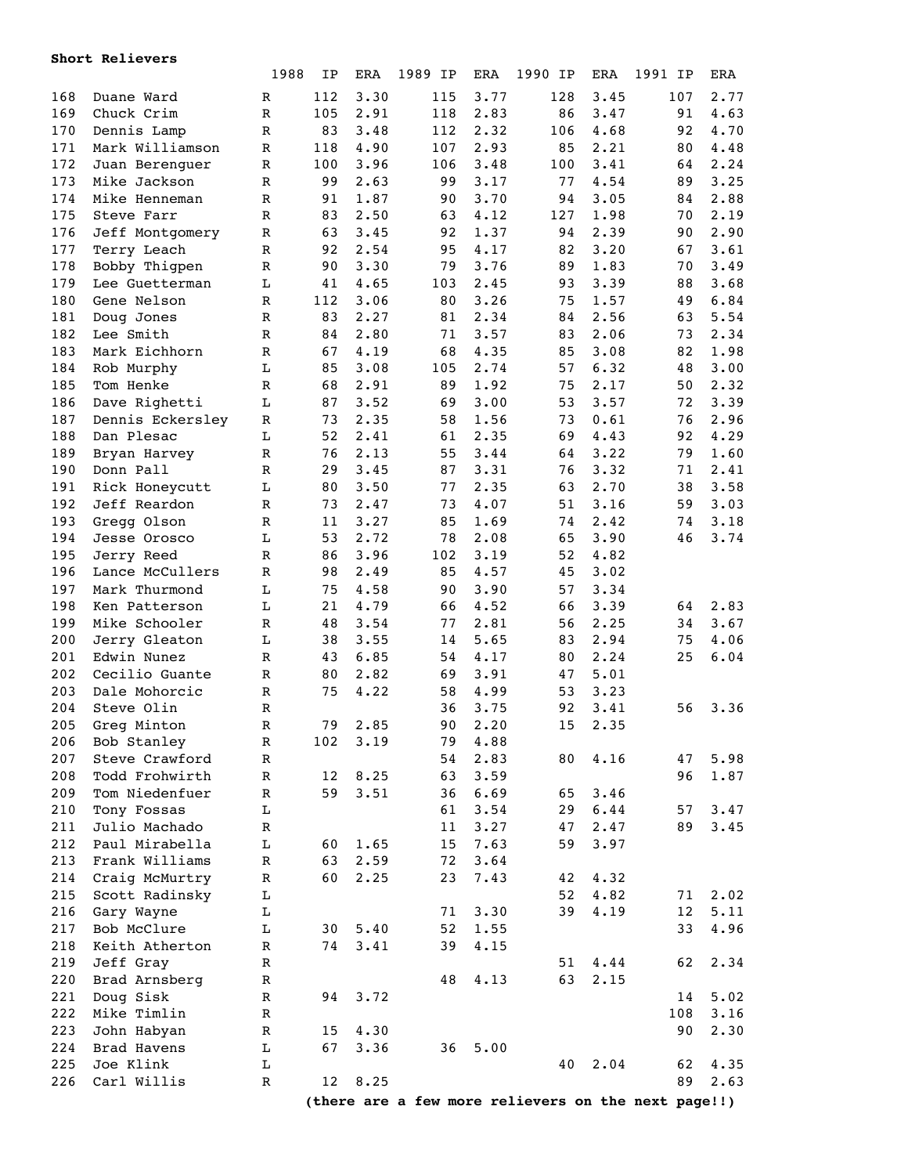|     | Short Relievers  |             |     |            |         |            |            |            |                                                     |            |
|-----|------------------|-------------|-----|------------|---------|------------|------------|------------|-----------------------------------------------------|------------|
|     |                  | 1988        | IP  | <b>ERA</b> | 1989 IP | <b>ERA</b> | 1990<br>IP | <b>ERA</b> | 1991 IP                                             | <b>ERA</b> |
| 168 | Duane Ward       | R           | 112 | 3.30       | 115     | 3.77       | 128        | 3.45       | 107                                                 | 2.77       |
| 169 | Chuck Crim       | R           | 105 | 2.91       | 118     | 2.83       | 86         | 3.47       | 91                                                  | 4.63       |
| 170 | Dennis Lamp      | $\mathbb R$ | 83  | 3.48       | 112     | 2.32       | 106        | 4.68       | 92                                                  | 4.70       |
| 171 | Mark Williamson  | R           | 118 | 4.90       | 107     | 2.93       | 85         | 2.21       | 80                                                  | 4.48       |
| 172 | Juan Berenguer   | R           | 100 | 3.96       | 106     | 3.48       | 100        | 3.41       | 64                                                  | 2.24       |
| 173 | Mike Jackson     | $\mathbb R$ | 99  | 2.63       | 99      | 3.17       | 77         | 4.54       | 89                                                  | 3.25       |
| 174 | Mike Henneman    | $\mathbb R$ | 91  | 1.87       | 90      | 3.70       | 94         | 3.05       | 84                                                  | 2.88       |
| 175 | Steve Farr       | $\mathbb R$ | 83  | 2.50       | 63      | 4.12       | 127        | 1.98       | 70                                                  | 2.19       |
| 176 | Jeff Montgomery  | $\mathbb R$ | 63  | 3.45       | 92      | 1.37       | 94         | 2.39       | 90                                                  | 2.90       |
| 177 | Terry Leach      | $\mathbb R$ | 92  | 2.54       | 95      | 4.17       | 82         | 3.20       | 67                                                  | 3.61       |
| 178 | Bobby Thigpen    | $\mathbb R$ | 90  | 3.30       | 79      | 3.76       | 89         | 1.83       | 70                                                  | 3.49       |
| 179 | Lee Guetterman   | L           | 41  | 4.65       | 103     | 2.45       | 93         | 3.39       | 88                                                  | 3.68       |
| 180 | Gene Nelson      | R           | 112 | 3.06       | 80      | 3.26       | 75         | 1.57       | 49                                                  | 6.84       |
| 181 | Doug Jones       | R           | 83  | 2.27       | 81      | 2.34       | 84         | 2.56       | 63                                                  | 5.54       |
| 182 | Lee Smith        | R           | 84  | 2.80       | 71      | 3.57       | 83         | 2.06       | 73                                                  | 2.34       |
| 183 | Mark Eichhorn    | R           | 67  | 4.19       | 68      | 4.35       | 85         | 3.08       | 82                                                  | 1.98       |
| 184 |                  | L           | 85  | 3.08       |         | 2.74       | 57         | 6.32       | 48                                                  | 3.00       |
|     | Rob Murphy       |             |     |            | 105     |            |            |            |                                                     |            |
| 185 | Tom Henke        | R           | 68  | 2.91       | 89      | 1.92       | 75         | 2.17       | 50                                                  | 2.32       |
| 186 | Dave Righetti    | L           | 87  | 3.52       | 69      | 3.00       | 53         | 3.57       | 72                                                  | 3.39       |
| 187 | Dennis Eckersley | R           | 73  | 2.35       | 58      | 1.56       | 73         | 0.61       | 76                                                  | 2.96       |
| 188 | Dan Plesac       | L           | 52  | 2.41       | 61      | 2.35       | 69         | 4.43       | 92                                                  | 4.29       |
| 189 | Bryan Harvey     | R           | 76  | 2.13       | 55      | 3.44       | 64         | 3.22       | 79                                                  | 1.60       |
| 190 | Donn Pall        | R           | 29  | 3.45       | 87      | 3.31       | 76         | 3.32       | 71                                                  | 2.41       |
| 191 | Rick Honeycutt   | L           | 80  | 3.50       | 77      | 2.35       | 63         | 2.70       | 38                                                  | 3.58       |
| 192 | Jeff Reardon     | R           | 73  | 2.47       | 73      | 4.07       | 51         | 3.16       | 59                                                  | 3.03       |
| 193 | Gregg Olson      | R           | 11  | 3.27       | 85      | 1.69       | 74         | 2.42       | 74                                                  | 3.18       |
| 194 | Jesse Orosco     | L           | 53  | 2.72       | 78      | 2.08       | 65         | 3.90       | 46                                                  | 3.74       |
| 195 | Jerry Reed       | R           | 86  | 3.96       | 102     | 3.19       | 52         | 4.82       |                                                     |            |
| 196 | Lance McCullers  | R           | 98  | 2.49       | 85      | 4.57       | 45         | 3.02       |                                                     |            |
| 197 | Mark Thurmond    | L           | 75  | 4.58       | 90      | 3.90       | 57         | 3.34       |                                                     |            |
| 198 | Ken Patterson    | L           | 21  | 4.79       | 66      | 4.52       | 66         | 3.39       | 64                                                  | 2.83       |
| 199 | Mike Schooler    | $\mathbb R$ | 48  | 3.54       | 77      | 2.81       | 56         | 2.25       | 34                                                  | 3.67       |
| 200 | Jerry Gleaton    | L           | 38  | 3.55       | 14      | 5.65       | 83         | 2.94       | 75                                                  | 4.06       |
| 201 | Edwin Nunez      | R           | 43  | 6.85       | 54      | 4.17       | 80         | 2.24       | 25                                                  | 6.04       |
| 202 | Cecilio Guante   | R           | 80  | 2.82       | 69      | 3.91       | 47         | 5.01       |                                                     |            |
| 203 | Dale Mohorcic    | R           | 75  | 4.22       | 58      | 4.99       | 53         | 3.23       |                                                     |            |
| 204 | Steve Olin       | R           |     |            | 36      | 3.75       | 92         | 3.41       | 56                                                  | 3.36       |
| 205 | Greg Minton      | R           | 79  | 2.85       | 90      | 2.20       | 15         | 2.35       |                                                     |            |
| 206 | Bob Stanley      | R           | 102 | 3.19       | 79      | 4.88       |            |            |                                                     |            |
| 207 | Steve Crawford   | R           |     |            | 54      | 2.83       | 80         | 4.16       | 47                                                  | 5.98       |
| 208 | Todd Frohwirth   | R           | 12  | 8.25       | 63      | 3.59       |            |            | 96                                                  | 1.87       |
| 209 | Tom Niedenfuer   | R           | 59  | 3.51       | 36      | 6.69       | 65         | 3.46       |                                                     |            |
| 210 | Tony Fossas      | Г           |     |            | 61      | 3.54       | 29         | 6.44       | 57                                                  | 3.47       |
| 211 | Julio Machado    | R           |     |            | 11      | 3.27       | 47         | 2.47       | 89                                                  | 3.45       |
| 212 | Paul Mirabella   | L           | 60  | 1.65       | 15      | 7.63       | 59         | 3.97       |                                                     |            |
| 213 | Frank Williams   | R           | 63  | 2.59       | 72      | 3.64       |            |            |                                                     |            |
| 214 | Craig McMurtry   | R           | 60  | 2.25       | 23      | 7.43       | 42         | 4.32       |                                                     |            |
| 215 | Scott Radinsky   | L           |     |            |         |            | 52         | 4.82       | 71                                                  | 2.02       |
| 216 | Gary Wayne       | L           |     |            | 71      | 3.30       | 39         | 4.19       | $12 \overline{ }$                                   | 5.11       |
| 217 | Bob McClure      | L           | 30  | 5.40       | 52      | 1.55       |            |            | 33                                                  | 4.96       |
| 218 | Keith Atherton   | R           | 74  | 3.41       | 39      | 4.15       |            |            |                                                     |            |
| 219 | Jeff Gray        | R           |     |            |         |            | 51         | 4.44       | 62                                                  | 2.34       |
| 220 | Brad Arnsberg    | R           |     |            | 48      | 4.13       | 63         | 2.15       |                                                     |            |
| 221 | Doug Sisk        | R           | 94  | 3.72       |         |            |            |            | 14                                                  | 5.02       |
| 222 | Mike Timlin      | R           |     |            |         |            |            |            | 108                                                 | 3.16       |
| 223 | John Habyan      | R           | 15  | 4.30       |         |            |            |            | 90                                                  | 2.30       |
| 224 | Brad Havens      | L           | 67  | 3.36       | 36      | 5.00       |            |            |                                                     |            |
| 225 | Joe Klink        | L           |     |            |         |            | 40         | 2.04       | 62                                                  | 4.35       |
| 226 | Carl Willis      | R           | 12  | 8.25       |         |            |            |            | 89                                                  | 2.63       |
|     |                  |             |     |            |         |            |            |            |                                                     |            |
|     |                  |             |     |            |         |            |            |            | (there are a few more relievers on the next page!!) |            |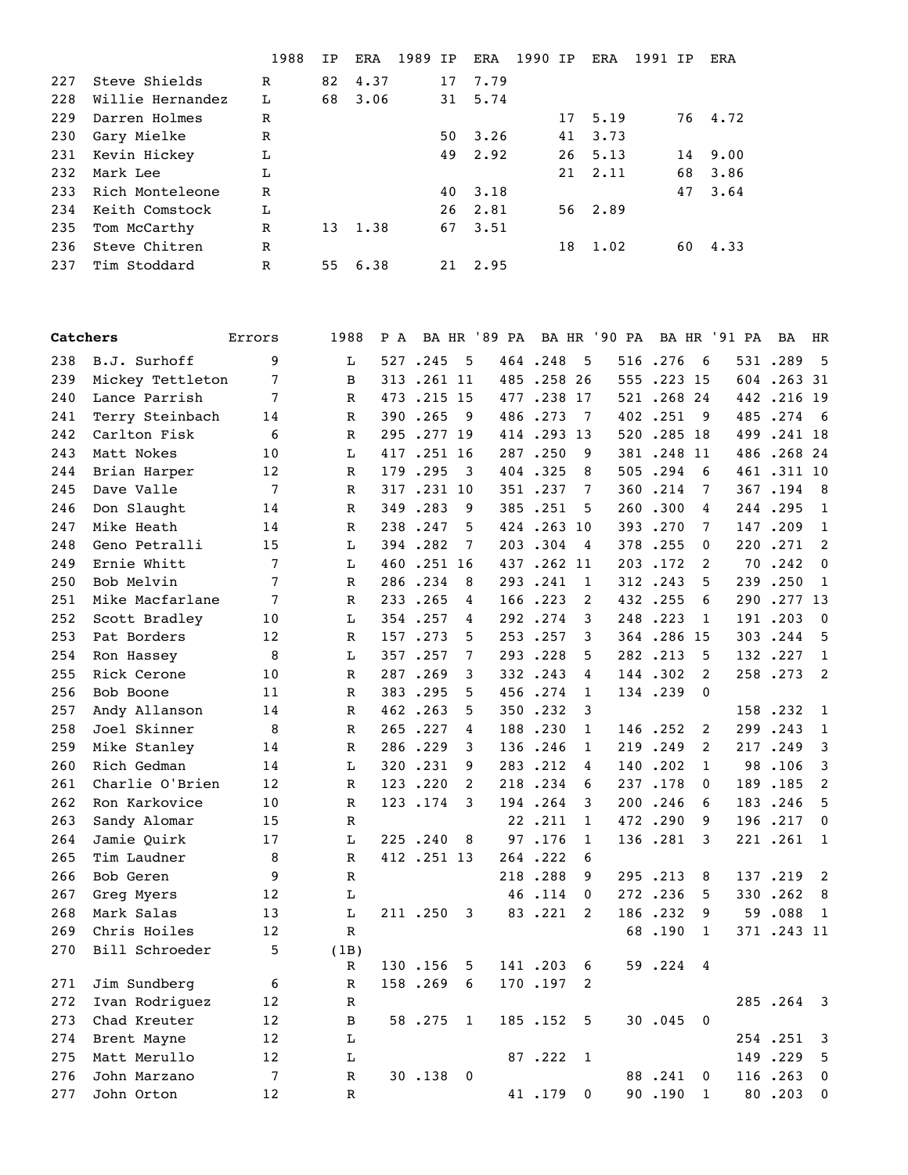|     |                  | 1988 | TP | <b>ERA</b> | 1989 | IP | <b>ERA</b> | 1990 | IP | ERA      | 1991 | TP | <b>ERA</b> |
|-----|------------------|------|----|------------|------|----|------------|------|----|----------|------|----|------------|
| 227 | Steve Shields    | R    | 82 | 4.37       |      | 17 | 7.79       |      |    |          |      |    |            |
| 228 | Willie Hernandez | L    | 68 | 3.06       |      | 31 | 5.74       |      |    |          |      |    |            |
| 229 | Darren Holmes    | R    |    |            |      |    |            |      | 17 | 5.19     |      |    | 76 4.72    |
| 230 | Gary Mielke      | R    |    |            |      | 50 | 3.26       |      | 41 | 3.73     |      |    |            |
| 231 | Kevin Hickey     | L    |    |            |      |    | 49 2.92    |      |    | 26, 5.13 |      | 14 | 9.00       |
| 232 | Mark Lee         | L    |    |            |      |    |            |      | 21 | 2.11     |      | 68 | 3.86       |
| 233 | Rich Monteleone  | R    |    |            |      | 40 | 3.18       |      |    |          |      | 47 | 3.64       |
| 234 | Keith Comstock   | L    |    |            |      | 26 | 2.81       |      |    | 56 2.89  |      |    |            |
| 235 | Tom McCarthy     | R    | 13 | 1.38       |      | 67 | 3.51       |      |    |          |      |    |            |
| 236 | Steve Chitren    | R    |    |            |      |    |            |      | 18 | 1.02     |      | 60 | 4.33       |
| 237 | Tim Stoddard     | R    | 55 | 6.38       |      | 21 | 2.95       |      |    |          |      |    |            |

| Catchers |                  | Errors         | 1988         | P A |            |              | BA HR '89 PA        |            |              | BA HR '90 PA |            |                | BA HR '91 PA | BA          | HR                      |
|----------|------------------|----------------|--------------|-----|------------|--------------|---------------------|------------|--------------|--------------|------------|----------------|--------------|-------------|-------------------------|
| 238      | B.J. Surhoff     | 9              | L            |     | 527.245    | 5            |                     | 464.248    | 5            |              | 516.276    | - 6            |              | 531.289     | $-5$                    |
| 239      | Mickey Tettleton | 7              | B            |     | 313.261 11 |              |                     | 485.258    | 26           |              | 555.223 15 |                |              | 604.26331   |                         |
| 240      | Lance Parrish    | 7              | $\mathbb R$  |     | 473.215 15 |              |                     | 477.238    | 17           |              | 521.268.24 |                |              | 442.216 19  |                         |
| 241      | Terry Steinbach  | 14             | R            |     | 390.265    | - 9          |                     | 486.273    | -7           |              | 402.251    | 9              |              | 485.274     | 6                       |
| 242      | Carlton Fisk     | 6              | $\mathbb R$  |     | 295.277 19 |              |                     | 414.293    | 13           |              | 520.285 18 |                |              | 499.241 18  |                         |
| 243      | Matt Nokes       | 10             | L            |     | 417.251 16 |              |                     | 287.250    | 9            |              | 381.248 11 |                |              | 486.26824   |                         |
| 244      | Brian Harper     | 12             | R            |     | 179.295    | 3            |                     | 404.325    | 8            |              | 505.294    | 6              |              | 461 .311 10 |                         |
| 245      | Dave Valle       | 7              | R            |     | 317.231 10 |              |                     | 351.237    | 7            |              | 360.214    | 7              |              | 367.194 8   |                         |
| 246      | Don Slaught      | 14             | $\mathbb R$  |     | 349.283    | 9            |                     | 385.251    | 5            |              | 260.300    | 4              |              | 244.295     | $\overline{1}$          |
| 247      | Mike Heath       | 14             | R            |     | 238.247    | 5            |                     | 424.263 10 |              |              | 393.270    | 7              |              | 147.209     | 1                       |
| 248      | Geno Petralli    | 15             | L            |     | 394.282    | 7            |                     | 203.304    | 4            |              | 378.255    | 0              | 220          | .271        | $\overline{2}$          |
| 249      | Ernie Whitt      | 7              | L            |     | 460.251 16 |              |                     | 437.262 11 |              |              | 203.172    | 2              | 70           | .242        | $\mathbf 0$             |
| 250      | Bob Melvin       | 7              | R            |     | 286.234    | 8            |                     | 293.241    | 1            |              | 312.243    | 5              |              | 239.250     | 1                       |
| 251      | Mike Macfarlane  | 7              | R            |     | 233.265    | 4            |                     | 166.223    | 2            |              | 432.255    | 6              | 290          | .27713      |                         |
| 252      | Scott Bradley    | 10             | L            |     | 354.257    | 4            |                     | 292.274    | 3            |              | 248.223    | 1              |              | 191.203     | $\overline{\mathbf{0}}$ |
| 253      | Pat Borders      | 12             | $\mathbb R$  |     | 157.273    | 5            |                     | 253.257    | 3            |              | 364.286    | 15             |              | 303.244     | 5                       |
| 254      | Ron Hassey       | 8              | L            |     | 357.257    | 7            |                     | 293.228    | 5            |              | 282.213    | 5              |              | 132.227     | 1                       |
| 255      | Rick Cerone      | 10             | R            |     | 287.269    | 3            |                     | 332.243    | 4            |              | 144.302    | 2              |              | 258.273     | 2                       |
| 256      | Bob Boone        | 11             | R            |     | 383.295    | 5            |                     | 456.274    | 1            |              | 134.239    | $\mathbf{0}$   |              |             |                         |
| 257      | Andy Allanson    | 14             | $\mathbb{R}$ |     | 462.263    | 5            |                     | 350.232    | 3            |              |            |                |              | 158.232     | $\overline{1}$          |
| 258      | Joel Skinner     | 8              | R            |     | 265.227    | 4            |                     | 188.230    | 1            |              | 146.252    | 2              |              | 299.243     | $\overline{1}$          |
| 259      | Mike Stanley     | 14             | $\mathbb R$  |     | 286.229    | 3            |                     | 136.246    | 1            |              | 219.249    | 2              |              | 217.249     | 3                       |
| 260      | Rich Gedman      | 14             | L            |     | 320.231    | 9            |                     | 283.212    | 4            |              | 140.202    | 1              | 98           | .106        | 3                       |
| 261      | Charlie O'Brien  | 12             | R            |     | 123.220    | 2            |                     | 218.234    | 6            |              | 237.178    | 0              |              | 189.185     | 2                       |
| 262      | Ron Karkovice    | 10             | $\mathbb R$  |     | 123.174    | 3            |                     | 194.264    | 3            |              | 200.246    | 6              |              | 183.246     | 5                       |
| 263      | Sandy Alomar     | 15             | $\mathbb R$  |     |            |              |                     | 22.211     | $\mathbf{1}$ |              | 472.290    | 9              |              | 196.217     | $\mathbf 0$             |
| 264      | Jamie Quirk      | 17             | L            |     | 225.240    | 8            |                     | 97.176     | 1            |              | 136.281    | 3              |              | 221.261     | 1                       |
| 265      | Tim Laudner      | 8              | R            |     | 412.251 13 |              |                     | 264.222    | 6            |              |            |                |              |             |                         |
| 266      | Bob Geren        | 9              | $\mathbb R$  |     |            |              |                     | 218.288    | 9            |              | 295.213    | 8              |              | 137.219     | $\overline{2}$          |
| 267      | Greg Myers       | 12             | L            |     |            |              |                     | 46.114     | 0            |              | 272.236    | 5              |              | 330.262     | 8                       |
| 268      | Mark Salas       | 13             | L            |     | 211.250    | 3            |                     | 83.221     | 2            |              | 186.232    | 9              |              | 59.088      | $\overline{1}$          |
| 269      | Chris Hoiles     | 12             | $\mathbb{R}$ |     |            |              |                     |            |              |              | 68.190     | $\mathbf{1}$   |              | 371 .243 11 |                         |
| 270      | Bill Schroeder   | 5              | (1B)         |     |            |              |                     |            |              |              |            |                |              |             |                         |
|          |                  |                | $\mathbb R$  |     |            |              | 130.156 5 141.203 6 |            |              |              | 59.224 4   |                |              |             |                         |
| 271      | Jim Sundberg     | 6              | R            |     | 158.269 6  |              |                     | 170.197    | 2            |              |            |                |              |             |                         |
| 272      | Ivan Rodriguez   | 12             | $\mathbb R$  |     |            |              |                     |            |              |              |            |                |              | 285.264 3   |                         |
| 273      | Chad Kreuter     | 12             | B            |     | 58.275     | $\mathbf{1}$ |                     | 185.152    | 5            |              | 30.045     | $\overline{0}$ |              |             |                         |
| 274      | Brent Mayne      | 12             | L            |     |            |              |                     |            |              |              |            |                |              | 254.251 3   |                         |
| 275      | Matt Merullo     | 12             | $\mathbf L$  |     |            |              |                     | 87.222     | 1            |              |            |                |              | 149.229 5   |                         |
| 276      | John Marzano     | $\overline{7}$ | $\mathbb R$  |     | 30.138 0   |              |                     |            |              |              | 88.241     | 0              |              | 116.263 0   |                         |
| 277      | John Orton       | 12             | R            |     |            |              |                     | 41.179     | $\mathbf 0$  |              | 90.190     | 1              |              | 80.203 0    |                         |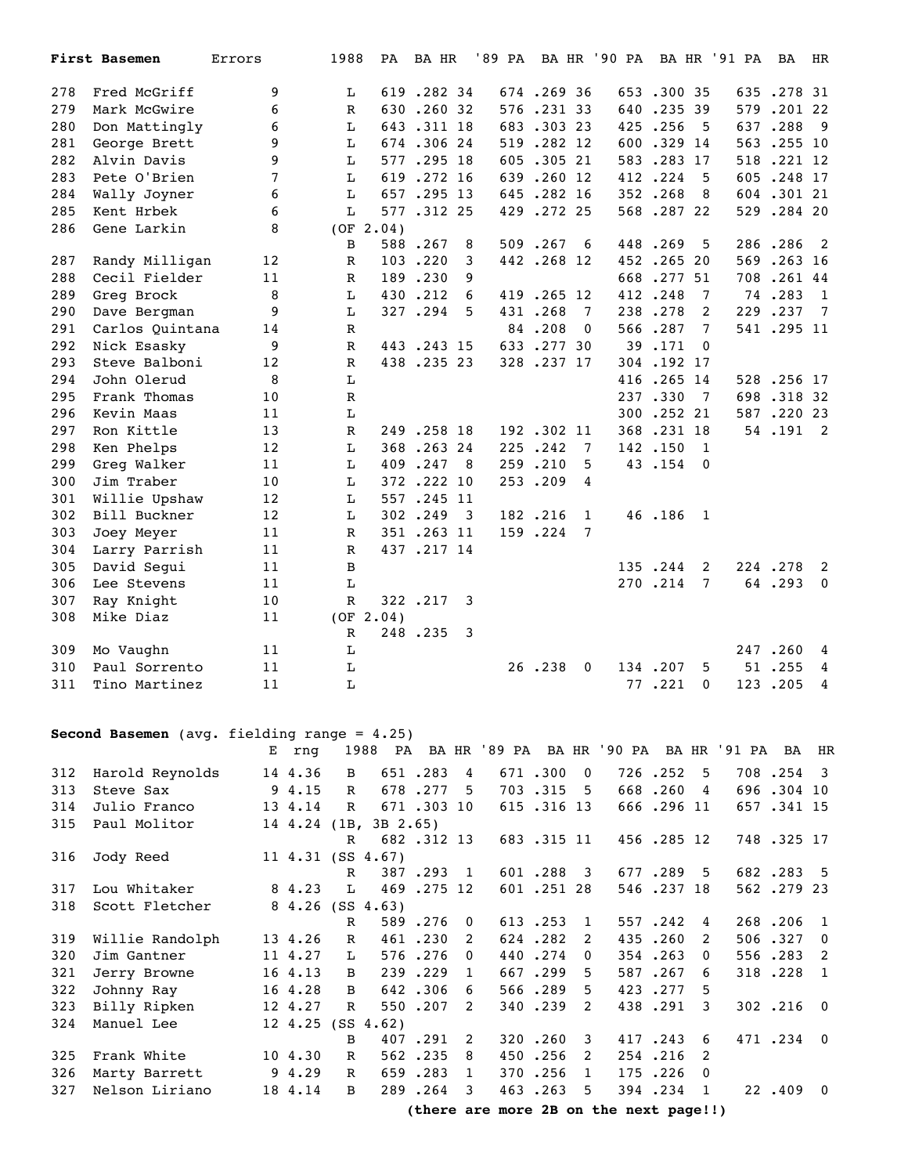|     | First Basemen   | Errors | 1988         | PA        | BA HR      |                         | '89 PA | BA HR      |             | '90 PA |            |                | BA HR '91 PA | BA         | HR                         |
|-----|-----------------|--------|--------------|-----------|------------|-------------------------|--------|------------|-------------|--------|------------|----------------|--------------|------------|----------------------------|
| 278 | Fred McGriff    | 9      | L            |           | 619.282 34 |                         |        | 674.26936  |             |        | 653.300 35 |                |              | 635.278 31 |                            |
| 279 | Mark McGwire    | 6      | $\mathbb{R}$ |           | 630.260.32 |                         |        | 576.23133  |             |        | 640.235 39 |                |              | 579.20122  |                            |
| 280 | Don Mattingly   | 6      | L            |           | 643.311 18 |                         |        | 683.30323  |             |        | 425.256    | 5              |              | 637.288    | - 9                        |
| 281 | George Brett    | 9      | L            |           | 674.30624  |                         |        | 519.282 12 |             |        | 600.329 14 |                |              | 563.255 10 |                            |
| 282 | Alvin Davis     | 9      | L            |           | 577.295 18 |                         |        | 605.30521  |             |        | 583.283.17 |                |              | 518.221 12 |                            |
| 283 | Pete O'Brien    | 7      | L            | 619       | .272 16    |                         |        | 639.260 12 |             |        | 412.224    | 5              |              | 605.248.17 |                            |
| 284 | Wally Joyner    | 6      | L            |           | 657.295 13 |                         |        | 645.282 16 |             |        | 352.268    | 8              |              | 604.30121  |                            |
| 285 | Kent Hrbek      | 6      | L            |           | 577.312 25 |                         |        | 429.272.25 |             |        | 568.287.22 |                |              | 529.284 20 |                            |
| 286 | Gene Larkin     | 8      |              | (OF 2.04) |            |                         |        |            |             |        |            |                |              |            |                            |
|     |                 |        | B            |           | 588.267    | 8                       |        | 509.267    | 6           |        | 448.269    | 5              |              | 286.286    | 2                          |
| 287 | Randy Milligan  | 12     | R            |           | 103.220    | 3                       |        | 442.268 12 |             |        | 452.26520  |                |              | 569.263 16 |                            |
| 288 | Cecil Fielder   | 11     | R            |           | 189.230    | 9                       |        |            |             |        | 668.277 51 |                |              | 708.26144  |                            |
| 289 | Greg Brock      | 8      | L            | 430       | .212       | 6                       |        | 419.265 12 |             |        | 412.248    | 7              |              | 74.283     | 1                          |
| 290 | Dave Bergman    | 9      | L            |           | 327.294    | 5                       |        | 431.268    | 7           |        | 238.278    | 2              |              | 229.237    | 7                          |
| 291 | Carlos Quintana | 14     | $\mathbb R$  |           |            |                         |        | 84.208     | 0           | 566    | .287       | 7              |              | 541.295 11 |                            |
| 292 | Nick Esasky     | 9      | R            |           | 443.243.15 |                         |        | 633.27730  |             |        | 39.171     | $\mathbf{0}$   |              |            |                            |
| 293 | Steve Balboni   | 12     | R            |           | 438.23523  |                         |        | 328.237 17 |             |        | 304.192 17 |                |              |            |                            |
| 294 | John Olerud     | 8      | L            |           |            |                         |        |            |             |        | 416.265 14 |                |              | 528.256 17 |                            |
| 295 | Frank Thomas    | 10     | R            |           |            |                         |        |            |             |        | 237.330    | 7              |              | 698.31832  |                            |
| 296 | Kevin Maas      | 11     | L            |           |            |                         |        |            |             |        | 300.252 21 |                |              | 587.220 23 |                            |
| 297 | Ron Kittle      | 13     | $\mathbb R$  |           | 249.258 18 |                         |        | 192.302 11 |             |        | 368.231 18 |                |              | 54.191     | $\overline{\phantom{0}}^2$ |
| 298 | Ken Phelps      | 12     | L            |           | 368.26324  |                         |        | 225.242    | 7           |        | 142.150    | $\overline{1}$ |              |            |                            |
| 299 | Greg Walker     | 11     | $\mathbf L$  |           | 409.247    | - 8                     |        | 259.210    | 5           |        | 43.154     | $\mathbf 0$    |              |            |                            |
| 300 | Jim Traber      | 10     | L            |           | 372.222 10 |                         |        | 253.209    | 4           |        |            |                |              |            |                            |
| 301 | Willie Upshaw   | 12     | Ŀ            |           | 557.245 11 |                         |        |            |             |        |            |                |              |            |                            |
| 302 | Bill Buckner    | 12     | L            |           | 302.249    | $\overline{\mathbf{3}}$ |        | 182.216    | 1           |        | 46.186     | - 1            |              |            |                            |
| 303 | Joey Meyer      | 11     | R            |           | 351.263 11 |                         |        | 159.224    | 7           |        |            |                |              |            |                            |
| 304 | Larry Parrish   | 11     | R            |           | 437.217 14 |                         |        |            |             |        |            |                |              |            |                            |
| 305 | David Segui     | 11     | B            |           |            |                         |        |            |             |        | 135.244    | 2              |              | 224.278    | 2                          |
| 306 | Lee Stevens     | 11     | L            |           |            |                         |        |            |             |        | 270.214    | 7              |              | 64.293     | $\mathbf 0$                |
| 307 | Ray Knight      | 10     | R            |           | 322.217    | 3                       |        |            |             |        |            |                |              |            |                            |
| 308 | Mike Diaz       | 11     |              | (OF 2.04) |            |                         |        |            |             |        |            |                |              |            |                            |
|     |                 |        | R            |           | 248.235    | $\overline{\mathbf{3}}$ |        |            |             |        |            |                |              |            |                            |
| 309 | Mo Vaughn       | 11     | Ŀ            |           |            |                         |        |            |             |        |            |                |              | 247.260    | 4                          |
| 310 | Paul Sorrento   | 11     | $\mathbf L$  |           |            |                         |        | 26.238     | $\mathbf 0$ |        | 134.207    | 5              |              | 51.255     | 4                          |
| 311 | Tino Martinez   | 11     | L            |           |            |                         |        |            |             |        | 77.221     | 0              |              | 123.205    | 4                          |

## **Second Basemen** (avg. fielding range = 4.25)

|     |                 | Е | rnq     |              | 1988                     |            |                |            |                | PA BAHR '89 PA BAHR '90 PA BAHR '91 PA BAHR |            |                |            |                |
|-----|-----------------|---|---------|--------------|--------------------------|------------|----------------|------------|----------------|---------------------------------------------|------------|----------------|------------|----------------|
| 312 | Harold Reynolds |   | 14 4.36 | B            |                          | 651.283    | $\overline{4}$ | 671.300 0  |                |                                             | 726.252 5  |                | 708.254 3  |                |
| 313 | Steve Sax       |   | 94.15   | $\mathbf{R}$ |                          | 678.277    | 5.             | 703.315 5  |                |                                             | 668.260    | $\overline{4}$ | 696.304 10 |                |
| 314 | Julio Franco    |   | 13 4.14 | R            |                          | 671.303 10 |                | 615.316 13 |                |                                             | 666.296 11 |                | 657.341 15 |                |
| 315 | Paul Molitor    |   |         |              | 14 4.24 (1B, 3B 2.65)    |            |                |            |                |                                             |            |                |            |                |
|     |                 |   |         | $\mathbb{R}$ |                          | 682.312 13 |                | 683.315 11 |                |                                             | 456.285 12 |                | 748.325 17 |                |
| 316 | Jody Reed       |   |         |              | 11 4.31 (SS 4.67)        |            |                |            |                |                                             |            |                |            |                |
|     |                 |   |         | R            |                          | 387.293 1  |                | 601.288 3  |                |                                             | 677.289 5  |                | 682.283 5  |                |
| 317 | Lou Whitaker    |   | 8 4.23  | L            |                          | 469.275.12 |                | 601.251.28 |                |                                             | 546.237 18 |                | 562.279.23 |                |
| 318 | Scott Fletcher  |   |         |              | 8 4.26 (SS 4.63)         |            |                |            |                |                                             |            |                |            |                |
|     |                 |   |         | $\mathbf R$  |                          | 589.276 0  |                | 613.253    | $\blacksquare$ |                                             | 557.242    | 4              | 268.206    | $\overline{1}$ |
| 319 | Willie Randolph |   | 13 4.26 | $\mathbb{R}$ |                          | 461.230    | 2              | 624.282    | 2              |                                             | 435.260    | 2              | 506.327    | $\overline{0}$ |
| 320 | Jim Gantner     |   | 11 4.27 | L            |                          | 576.276    | $\Omega$       | 440.274    | $\Omega$       |                                             | 354.263    | $\Omega$       | 556.283    | $\overline{2}$ |
| 321 | Jerry Browne    |   | 16 4.13 | B            |                          | 239.229    | 1              | 667.299    | .5.            |                                             | 587.267    | 6              | 318.228    | $\mathbf{1}$   |
| 322 | Johnny Ray      |   | 16 4.28 | B            |                          | 642.306    | 6              | 566.289    | .5             |                                             | 423.277    | -5             |            |                |
| 323 | Billy Ripken    |   | 12 4.27 | $\mathbb{R}$ |                          | 550.207    | 2              | 340.239    | 2              |                                             | 438.291    | 3              | 302.216.0  |                |
| 324 | Manuel Lee      |   |         |              | $12 \t4.25$ (SS $4.62$ ) |            |                |            |                |                                             |            |                |            |                |
|     |                 |   |         | B            |                          | 407.291 2  |                | 320.260    | 3              |                                             | 417.243    | 6              | 471.234 0  |                |
| 325 | Frank White     |   | 10 4.30 | R            |                          | 562.235    | 8              | 450.256    | 2              |                                             | 254.216    | 2              |            |                |
| 326 | Marty Barrett   |   | 94.29   | R            |                          | 659.283    | $\mathbf{1}$   | 370.256    | $\mathbf{1}$   |                                             | 175.226    | $\Omega$       |            |                |
| 327 | Nelson Liriano  |   | 18 4.14 | B.           |                          | 289.264    | 3              | 463.263    | 5              |                                             | 394.234    | 1              | 22.409.0   |                |
|     |                 |   |         |              |                          |            |                |            |                | (there are more $2R$ on the next page!!)    |            |                |            |                |

**(there are more 2B on the next page!!)**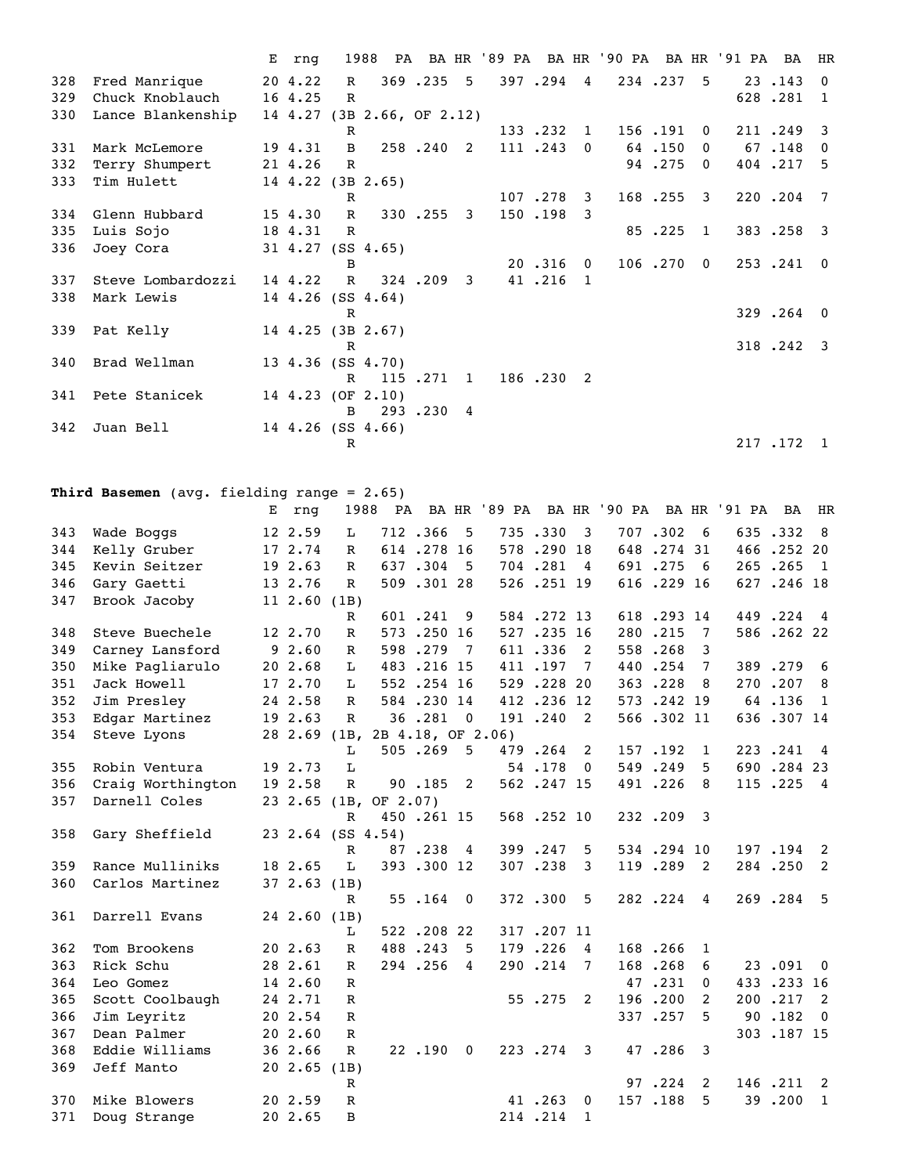|     |                   | Е | rng     |              | 1988                       |           |                         |           |                |           |                | PA BAHR '89 PA BAHR '90 PA BAHR '91 PA BA |         | HR                        |
|-----|-------------------|---|---------|--------------|----------------------------|-----------|-------------------------|-----------|----------------|-----------|----------------|-------------------------------------------|---------|---------------------------|
| 328 | Fred Manrique     |   | 20 4.22 | $\mathbb{R}$ |                            | 369.235 5 |                         | 397.294 4 |                | 234.237 5 |                |                                           | 23.143  | $\Omega$                  |
| 329 | Chuck Knoblauch   |   | 16 4.25 | $\mathbb{R}$ |                            |           |                         |           |                |           |                |                                           | 628.281 | - 1                       |
| 330 | Lance Blankenship |   |         |              | 14 4.27 (3B 2.66, OF 2.12) |           |                         |           |                |           |                |                                           |         |                           |
|     |                   |   |         | R            |                            |           |                         | 133.232   | $\overline{1}$ | 156.191   | $\Omega$       |                                           | 211.249 | -3                        |
| 331 | Mark McLemore     |   | 19 4.31 | B            |                            | 258.240 2 |                         | 111.243   | $\mathbf{0}$   | 64.150    | $\Omega$       |                                           | 67.148  | $\mathbf{0}$              |
| 332 | Terry Shumpert    |   | 21 4.26 | $\mathbb{R}$ |                            |           |                         |           |                | 94.275    | $\Omega$       |                                           | 404.217 | - 5                       |
| 333 | Tim Hulett        |   |         |              | 14 4.22 (3B 2.65)          |           |                         |           |                |           |                |                                           |         |                           |
|     |                   |   |         | $\mathbb{R}$ |                            |           |                         | 107.278   | 3              | 168.255 3 |                |                                           | 220.204 | $\overline{7}$            |
| 334 | Glenn Hubbard     |   | 15 4.30 | $\mathbb{R}$ |                            | 330.255   | $\overline{\mathbf{3}}$ | 150.198   | 3              |           |                |                                           |         |                           |
| 335 | Luis Sojo         |   | 18 4.31 | R            |                            |           |                         |           |                | 85.225    | $\mathbf{1}$   |                                           | 383.258 | $\overline{\phantom{a}3}$ |
| 336 | Joey Cora         |   |         |              | 31 4.27 (SS 4.65)          |           |                         |           |                |           |                |                                           |         |                           |
|     |                   |   |         | В            |                            |           |                         | 20.316    | $\mathbf{0}$   | 106.270   | $\overline{0}$ |                                           | 253.241 | $\overline{0}$            |
| 337 | Steve Lombardozzi |   | 14 4.22 | $\mathbb{R}$ |                            | 324.209   | 3                       | 41.216    | $\overline{1}$ |           |                |                                           |         |                           |
| 338 | Mark Lewis        |   |         |              | 14 4.26 (SS 4.64)          |           |                         |           |                |           |                |                                           |         |                           |
|     |                   |   |         | $\mathbb R$  |                            |           |                         |           |                |           |                |                                           | 329.264 | $\Omega$                  |
| 339 | Pat Kelly         |   |         |              | 14 4.25 (3B 2.67)          |           |                         |           |                |           |                |                                           |         |                           |
|     |                   |   |         | $\mathbb{R}$ |                            |           |                         |           |                |           |                |                                           | 318.242 | $\overline{\mathbf{3}}$   |
| 340 | Brad Wellman      |   |         |              | 13 4.36 (SS 4.70)          |           |                         |           |                |           |                |                                           |         |                           |
|     |                   |   |         | $\mathbb{R}$ |                            | 115.271.1 |                         | 186.230 2 |                |           |                |                                           |         |                           |
| 341 | Pete Stanicek     |   |         |              | 14 4.23 (OF 2.10)          |           |                         |           |                |           |                |                                           |         |                           |
|     |                   |   |         | B.           |                            | 293.230 4 |                         |           |                |           |                |                                           |         |                           |
| 342 | Juan Bell         |   |         |              | 14 4.26 (SS 4.66)          |           |                         |           |                |           |                |                                           |         |                           |
|     |                   |   |         | R            |                            |           |                         |           |                |           |                |                                           | 217.172 | $\overline{1}$            |

## **Third Basemen** (avg. fielding range = 2.65)

|     |                   | Е | rnq               | 1988          | PA                    |                   |                          | BA HR '89 PA |            |              | BA HR '90 PA |            |          | BA HR '91 PA | <b>BA</b>  | HR                       |
|-----|-------------------|---|-------------------|---------------|-----------------------|-------------------|--------------------------|--------------|------------|--------------|--------------|------------|----------|--------------|------------|--------------------------|
| 343 | Wade Boggs        |   | 12 2.59           | L             |                       | 712.366           | 5                        |              | 735.330    | 3            |              | 707.302    | 6        |              | 635.332    | 8                        |
| 344 | Kelly Gruber      |   | 17 2.74           | $\mathbb{R}$  |                       | 614.278.16        |                          |              | 578.290 18 |              |              | 648.27431  |          |              | 466.252 20 |                          |
| 345 | Kevin Seitzer     |   | 19 2.63           | $\mathbb{R}$  |                       | 637.304           | 5                        |              | 704.281    | 4            |              | 691.275    | - 6      |              | 265.265    | - 1                      |
| 346 | Gary Gaetti       |   | 13 2.76           | $\mathbb{R}$  |                       | 509.30128         |                          |              | 526.251 19 |              |              | 616.229 16 |          |              | 627.246 18 |                          |
| 347 | Brook Jacoby      |   | 11 2.60 (1B)      |               |                       |                   |                          |              |            |              |              |            |          |              |            |                          |
|     |                   |   |                   | $\mathbb{R}$  |                       | 601.241           | 9                        |              | 584.272.13 |              |              | 618.293 14 |          |              | 449.224    | $\overline{4}$           |
| 348 | Steve Buechele    |   | 12 2.70           | $\mathbb{R}$  |                       | 573.250 16        |                          |              | 527.235 16 |              |              | 280.215    | 7        |              | 586.26222  |                          |
| 349 | Carney Lansford   |   | 92.60             | $\mathbb R$   |                       | 598.279           | 7                        |              | 611.336    | 2            |              | 558.268    | 3        |              |            |                          |
| 350 | Mike Pagliarulo   |   | 20 2.68           | L             |                       | 483.216 15        |                          |              | 411.197    | 7            |              | 440.254    | 7        |              | 389.279    | 6                        |
| 351 | Jack Howell       |   | 17 2.70           | L             |                       | 552.254 16        |                          |              | 529.228 20 |              |              | 363.228    | 8        |              | 270.207    | 8                        |
| 352 | Jim Presley       |   | 24 2.58           | $\mathbb R$   |                       | 584.230 14        |                          |              | 412.236 12 |              |              | 573.242 19 |          |              | 64.136     | 1                        |
| 353 | Edgar Martinez    |   | 19 2.63           | $\mathbb{R}$  |                       | 36.281            | $\overline{0}$           |              | 191.240    | 2            |              | 566.302 11 |          |              | 636.307 14 |                          |
| 354 | Steve Lyons       |   | 28 2.69 (1B,      |               |                       | 2B 4.18, OF 2.06) |                          |              |            |              |              |            |          |              |            |                          |
|     |                   |   |                   | L             |                       | 505.269           | 5                        |              | 479.264    | 2            |              | 157.192    | 1        |              | 223.241    | $\overline{4}$           |
| 355 | Robin Ventura     |   | 19 2.73           | L             |                       |                   |                          |              | 54.178     | $\mathbf{0}$ |              | 549.249    | 5.       |              | 690.284 23 |                          |
| 356 | Craig Worthington |   | 19 2.58           | ${\mathbb R}$ |                       | 90.185            | 2                        |              | 562.247 15 |              |              | 491.226    | 8        |              | 115.225    | $\overline{4}$           |
| 357 | Darnell Coles     |   |                   |               | 23 2.65 (1B, OF 2.07) |                   |                          |              |            |              |              |            |          |              |            |                          |
|     |                   |   |                   | $\mathbb{R}$  |                       | 450.261 15        |                          |              | 568.252 10 |              |              | 232.209    | 3        |              |            |                          |
| 358 | Gary Sheffield    |   | 23 2.64 (SS 4.54) |               |                       |                   |                          |              |            |              |              |            |          |              |            |                          |
|     |                   |   |                   | R             |                       | 87.238            | 4                        |              | 399.247    | 5            |              | 534.294 10 |          |              | 197.194    | $\overline{2}$           |
| 359 | Rance Mulliniks   |   | 18 2.65           | L             |                       | 393.300 12        |                          |              | 307.238    | 3            |              | 119.289    | 2        |              | 284.250    | 2                        |
| 360 | Carlos Martinez   |   | 372.63(1B)        |               |                       |                   |                          |              |            |              |              |            |          |              |            |                          |
|     |                   |   |                   | $\mathbb{R}$  |                       | 55.164            | $\overline{\phantom{0}}$ |              | 372.300    | 5            |              | 282.224    | 4        |              | 269.284    | $-5$                     |
| 361 | Darrell Evans     |   | 24 2.60 (1B)      |               |                       |                   |                          |              |            |              |              |            |          |              |            |                          |
|     |                   |   |                   | L             |                       | 522.20822         |                          |              | 317.207 11 |              |              |            |          |              |            |                          |
| 362 | Tom Brookens      |   | 20 2.63           | R             |                       | 488.243           | 5                        |              | 179.226    | 4            |              | 168.266    | 1        |              |            |                          |
| 363 | Rick Schu         |   | 28 2.61           | $\mathbb{R}$  |                       | 294.256           | 4                        |              | 290.214    | 7            | 168          | .268       | 6        |              | 23.091     | $\overline{\phantom{0}}$ |
| 364 | Leo Gomez         |   | 14 2.60           | $\mathbb{R}$  |                       |                   |                          |              |            |              |              | 47.231     | $\Omega$ |              | 433.233    | 16                       |
| 365 | Scott Coolbaugh   |   | 24 2.71           | $\mathbb{R}$  |                       |                   |                          |              | 55.275     | 2            |              | 196.200    | 2        | 200          | .217       | 2                        |
| 366 | Jim Leyritz       |   | 20 2.54           | R             |                       |                   |                          |              |            |              |              | 337.257    | 5        |              | 90.182     | $\Omega$                 |
| 367 | Dean Palmer       |   | 20 2.60           | $\mathbb{R}$  |                       |                   |                          |              |            |              |              |            |          |              | 303.187 15 |                          |
| 368 | Eddie Williams    |   | 36 2.66           | $\mathbb{R}$  |                       | 22.190            | $\mathbf 0$              |              | 223.274    | 3            |              | 47.286     | 3        |              |            |                          |
| 369 | Jeff Manto        |   | 20 2.65           | (1B)          |                       |                   |                          |              |            |              |              |            |          |              |            |                          |
|     |                   |   |                   | $\mathbb R$   |                       |                   |                          |              |            |              |              | 97.224     | 2        |              | 146.211    | $\overline{2}$           |
| 370 | Mike Blowers      |   | 20 2.59           | $\mathbb{R}$  |                       |                   |                          |              | 41 .263    | 0            |              | 157.188    | 5.       |              | 39.200     | $\mathbf{1}$             |
| 371 | Doug Strange      |   | 20 2.65           | B             |                       |                   |                          |              | 214.214    | $\mathbf{1}$ |              |            |          |              |            |                          |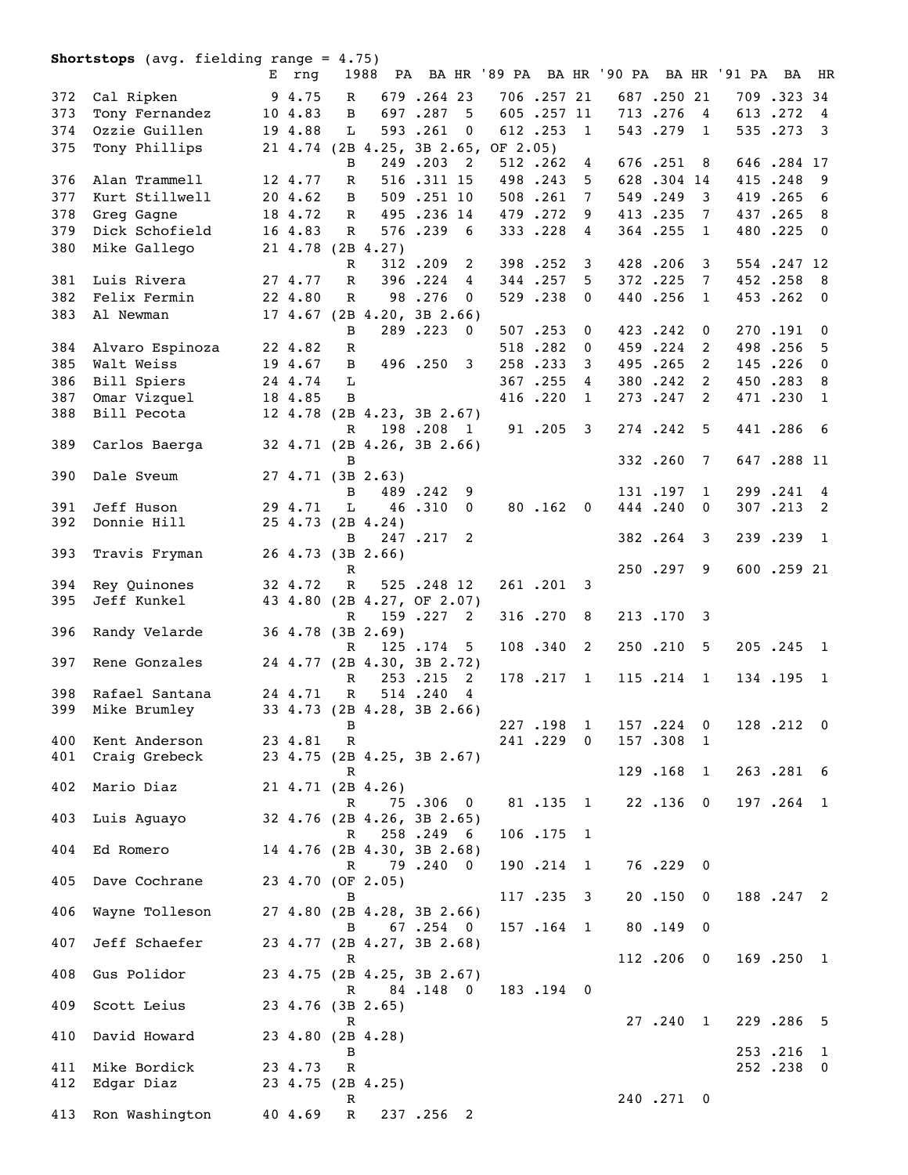|     | <b>Shortstops</b> (avg. fielding range = $4.75$ ) |   |         |              |                                     |            |                  |            |              |                                                   |            |                   |            |                          |
|-----|---------------------------------------------------|---|---------|--------------|-------------------------------------|------------|------------------|------------|--------------|---------------------------------------------------|------------|-------------------|------------|--------------------------|
|     |                                                   | E | rnq     |              |                                     |            |                  |            |              | 1988 PA BA HR '89 PA BA HR '90 PA BA HR '91 PA BA |            |                   |            | HR                       |
| 372 | Cal Ripken                                        |   | 9 4.75  | R            |                                     | 679.264 23 |                  | 706.25721  |              |                                                   | 687.25021  |                   | 709.323.34 |                          |
| 373 | Tony Fernandez                                    |   | 10 4.83 | B            |                                     | 697.287    | 5                | 605.257 11 |              |                                                   | 713.276    | 4                 | 613.272    | $\overline{4}$           |
| 374 | Ozzie Guillen                                     |   | 19 4.88 | L            |                                     | 593.261    | $\mathbf 0$      | 612.253    | 1            |                                                   | 543.279    | $\mathbf{1}$      | 535.273    | $\overline{\mathbf{3}}$  |
| 375 |                                                   |   |         |              | 21 4.74 (2B 4.25, 3B 2.65, OF 2.05) |            |                  |            |              |                                                   |            |                   |            |                          |
|     | Tony Phillips                                     |   |         | B            |                                     |            | -2               |            |              |                                                   |            |                   |            |                          |
|     |                                                   |   |         |              |                                     | 249.203    |                  | 512.262    | 4            |                                                   | 676.251    | 8                 | 646.284 17 |                          |
| 376 | Alan Trammell                                     |   | 12 4.77 | R            |                                     | 516.311 15 |                  | 498.243    | 5            |                                                   | 628.304 14 |                   | 415.248    | - 9                      |
| 377 | Kurt Stillwell                                    |   | 20 4.62 | B            |                                     | 509.251 10 |                  | 508.261    | 7            |                                                   | 549.249    | 3                 | 419.265    | 6                        |
| 378 | Greg Gagne                                        |   | 18 4.72 | $\mathbb{R}$ |                                     | 495.236 14 |                  | 479.272    | 9            |                                                   | 413.235    | 7                 | 437.265    | 8                        |
| 379 | Dick Schofield                                    |   | 16 4.83 | R            |                                     | 576.239    | - 6              | 333.228    | 4            |                                                   | 364.255    | 1                 | 480.225    | $\Omega$                 |
| 380 | Mike Gallego                                      |   |         |              | 21 4.78 (2B 4.27)                   |            |                  |            |              |                                                   |            |                   |            |                          |
|     |                                                   |   |         | $\mathbb{R}$ |                                     | 312.209    | 2                | 398.252    | 3            |                                                   | 428.206    | 3                 | 554.247 12 |                          |
| 381 | Luis Rivera                                       |   | 27 4.77 | $\mathbb{R}$ |                                     | 396.224    | 4                | 344.257    | 5            |                                                   | 372.225    | 7                 | 452.258    | $_{\rm 8}$               |
| 382 | Felix Fermin                                      |   | 22 4.80 | R            |                                     | 98.276     | 0                | 529.238    | 0            |                                                   | 440.256    | 1                 | 453.262    | $\overline{\phantom{0}}$ |
| 383 | Al Newman                                         |   |         |              | 17 4.67 (2B 4.20, 3B 2.66)          |            |                  |            |              |                                                   |            |                   |            |                          |
|     |                                                   |   |         | B            |                                     | 289.223    | - 0              | 507.253    | 0            |                                                   | 423.242    | 0                 | 270.191    | $\mathbf{0}$             |
| 384 | Alvaro Espinoza                                   |   | 22 4.82 | R            |                                     |            |                  | 518.282    | $\bf{0}$     |                                                   | 459.224    | 2                 | 498.256    | 5                        |
| 385 | Walt Weiss                                        |   | 19 4.67 | B            |                                     | 496.250    | 3                | 258.233    | 3            |                                                   | 495.265    | 2                 | 145.226    | $\mathbf{0}$             |
| 386 | Bill Spiers                                       |   | 24 4.74 | L            |                                     |            |                  | 367.255    | 4            |                                                   | 380.242    | 2                 | 450.283    | - 8                      |
| 387 |                                                   |   | 18 4.85 | B            |                                     |            |                  | 416.220    | $\mathbf{1}$ |                                                   | 273.247    | 2                 | 471.230    | 1                        |
|     | Omar Vizquel                                      |   |         |              |                                     |            |                  |            |              |                                                   |            |                   |            |                          |
| 388 | Bill Pecota                                       |   |         |              | 12 4.78 (2B 4.23, 3B 2.67)          | 198.208 1  |                  |            |              |                                                   | 274.242    | 5                 | 441.286    | - 6                      |
|     |                                                   |   |         | R            |                                     |            |                  | 91 .205    | 3            |                                                   |            |                   |            |                          |
| 389 | Carlos Baerga                                     |   |         |              | 32 4.71 (2B 4.26, 3B 2.66)          |            |                  |            |              |                                                   | 332.260    | 7                 | 647.288 11 |                          |
| 390 | Dale Sveum                                        |   |         | B            | $27 \t4.71 \t (3B \t2.63)$          |            |                  |            |              |                                                   |            |                   |            |                          |
|     |                                                   |   |         | B            |                                     | 489.242    |                  |            |              |                                                   | 131.197    |                   | 299.241    | $\overline{4}$           |
| 391 | Jeff Huson                                        |   | 29 4.71 | L            |                                     | 46.310     | 9<br>$\mathbf 0$ | 80.162     | $\mathbf{0}$ |                                                   | 444.240    | $\mathbf{1}$<br>0 | 307.213    | 2                        |
| 392 | Donnie Hill                                       |   |         |              | 25 4.73 (2B 4.24)                   |            |                  |            |              |                                                   |            |                   |            |                          |
|     |                                                   |   |         | B            |                                     | 247.217    | 2                |            |              |                                                   | 382.264    | 3                 | 239.239    | $\overline{1}$           |
| 393 |                                                   |   |         |              | 26 4.73 (3B 2.66)                   |            |                  |            |              |                                                   |            |                   |            |                          |
|     | Travis Fryman                                     |   |         | R            |                                     |            |                  |            |              |                                                   | 250.297    | 9                 | 600.259 21 |                          |
| 394 | Rey Quinones                                      |   | 32 4.72 | $\mathbb{R}$ |                                     | 525.248.12 |                  | 261.201 3  |              |                                                   |            |                   |            |                          |
| 395 | Jeff Kunkel                                       |   |         |              | 43 4.80 (2B 4.27, OF 2.07)          |            |                  |            |              |                                                   |            |                   |            |                          |
|     |                                                   |   |         | R            |                                     | 159.227 2  |                  | 316.270    | 8            |                                                   | 213.170    | 3                 |            |                          |
| 396 | Randy Velarde                                     |   |         |              | 36 4.78 (3B 2.69)                   |            |                  |            |              |                                                   |            |                   |            |                          |
|     |                                                   |   |         | R            |                                     | 125.174    | 5                | 108.340    | 2            |                                                   | 250.210    | 5                 | 205.245    | $\mathbf{1}$             |
| 397 | Rene Gonzales                                     |   |         |              | 24 4.77 (2B 4.30, 3B 2.72)          |            |                  |            |              |                                                   |            |                   |            |                          |
|     |                                                   |   |         | R            |                                     | 253.215    | 2                | 178.217    | - 1          |                                                   | 115.214    | $\mathbf{1}$      | 134.195    | -1                       |
| 398 | Rafael Santana                                    |   | 24 4.71 |              | R 514.240 4                         |            |                  |            |              |                                                   |            |                   |            |                          |
| 399 | Mike Brumley                                      |   |         |              | 33 4.73 (2B 4.28, 3B 2.66)          |            |                  |            |              |                                                   |            |                   |            |                          |
|     |                                                   |   |         | В            |                                     |            |                  | 227.198 1  |              |                                                   | 157.224 0  |                   | 128.212 0  |                          |
| 400 | Kent Anderson                                     |   | 23 4.81 | $\mathbf R$  |                                     |            |                  | 241.229 0  |              |                                                   | 157.308    | -1                |            |                          |
| 401 | Craig Grebeck                                     |   |         |              | 23 4.75 (2B 4.25, 3B 2.67)          |            |                  |            |              |                                                   |            |                   |            |                          |
|     |                                                   |   |         | R            |                                     |            |                  |            |              |                                                   | 129.168    | 1                 | 263.281 6  |                          |
| 402 | Mario Diaz                                        |   |         |              | $21 \t4.71 \t(2B \t4.26)$           |            |                  |            |              |                                                   |            |                   |            |                          |
|     |                                                   |   |         | $\mathbb{R}$ |                                     | 75.306 0   |                  | 81.135 1   |              |                                                   | 22.136 0   |                   | 197.264 1  |                          |
| 403 | Luis Aguayo                                       |   |         |              | 32 4.76 (2B 4.26, 3B 2.65)          |            |                  |            |              |                                                   |            |                   |            |                          |
|     |                                                   |   |         | $\mathbb{R}$ |                                     | 258.249 6  |                  | 106.175 1  |              |                                                   |            |                   |            |                          |
| 404 | Ed Romero                                         |   |         |              | 14 4.76 (2B 4.30, 3B 2.68)          |            |                  |            |              |                                                   |            |                   |            |                          |
|     |                                                   |   |         |              | R 79.240 0                          |            |                  | 190.214 1  |              |                                                   | 76.229 0   |                   |            |                          |
| 405 | Dave Cochrane                                     |   |         |              | 23 4.70 (OF 2.05)                   |            |                  |            |              |                                                   |            |                   |            |                          |
|     |                                                   |   |         | в            |                                     |            |                  | 117.235 3  |              |                                                   | 20.150 0   |                   | 188.247 2  |                          |
| 406 | Wayne Tolleson                                    |   |         |              | 27 4.80 (2B 4.28, 3B 2.66)          |            |                  |            |              |                                                   |            |                   |            |                          |
|     |                                                   |   |         |              | B                                   | 67.254 0   |                  | 157.164 1  |              |                                                   | 80.149 0   |                   |            |                          |
| 407 | Jeff Schaefer                                     |   |         |              | 23 4.77 (2B 4.27, 3B 2.68)          |            |                  |            |              |                                                   |            |                   |            |                          |
|     |                                                   |   |         | $\mathbf R$  |                                     |            |                  |            |              |                                                   | 112.206 0  |                   | 169.250 1  |                          |
| 408 | Gus Polidor                                       |   |         |              | 23 4.75 (2B 4.25, 3B 2.67)          |            |                  |            |              |                                                   |            |                   |            |                          |
|     |                                                   |   |         | R            |                                     | 84.148 0   |                  | 183.194 0  |              |                                                   |            |                   |            |                          |
| 409 | Scott Leius                                       |   |         |              | 23 4.76 (3B 2.65)                   |            |                  |            |              |                                                   |            |                   |            |                          |
|     |                                                   |   |         | R            |                                     |            |                  |            |              |                                                   | 27.240     | $\overline{1}$    | 229.286 5  |                          |
| 410 | David Howard                                      |   |         |              | 23 4.80 (2B 4.28)                   |            |                  |            |              |                                                   |            |                   |            |                          |
|     |                                                   |   |         | B            |                                     |            |                  |            |              |                                                   |            |                   | 253.216 1  |                          |
| 411 | Mike Bordick                                      |   | 23 4.73 | $\mathbf R$  |                                     |            |                  |            |              |                                                   |            |                   | 252.238 0  |                          |
| 412 | Edgar Diaz                                        |   |         |              | 23 4.75 (2B 4.25)                   |            |                  |            |              |                                                   |            |                   |            |                          |
|     |                                                   |   |         | $\mathbf R$  |                                     |            |                  |            |              |                                                   | 240.271 0  |                   |            |                          |
| 413 | Ron Washington                                    |   | 40 4.69 | $\mathbf R$  |                                     | 237.256 2  |                  |            |              |                                                   |            |                   |            |                          |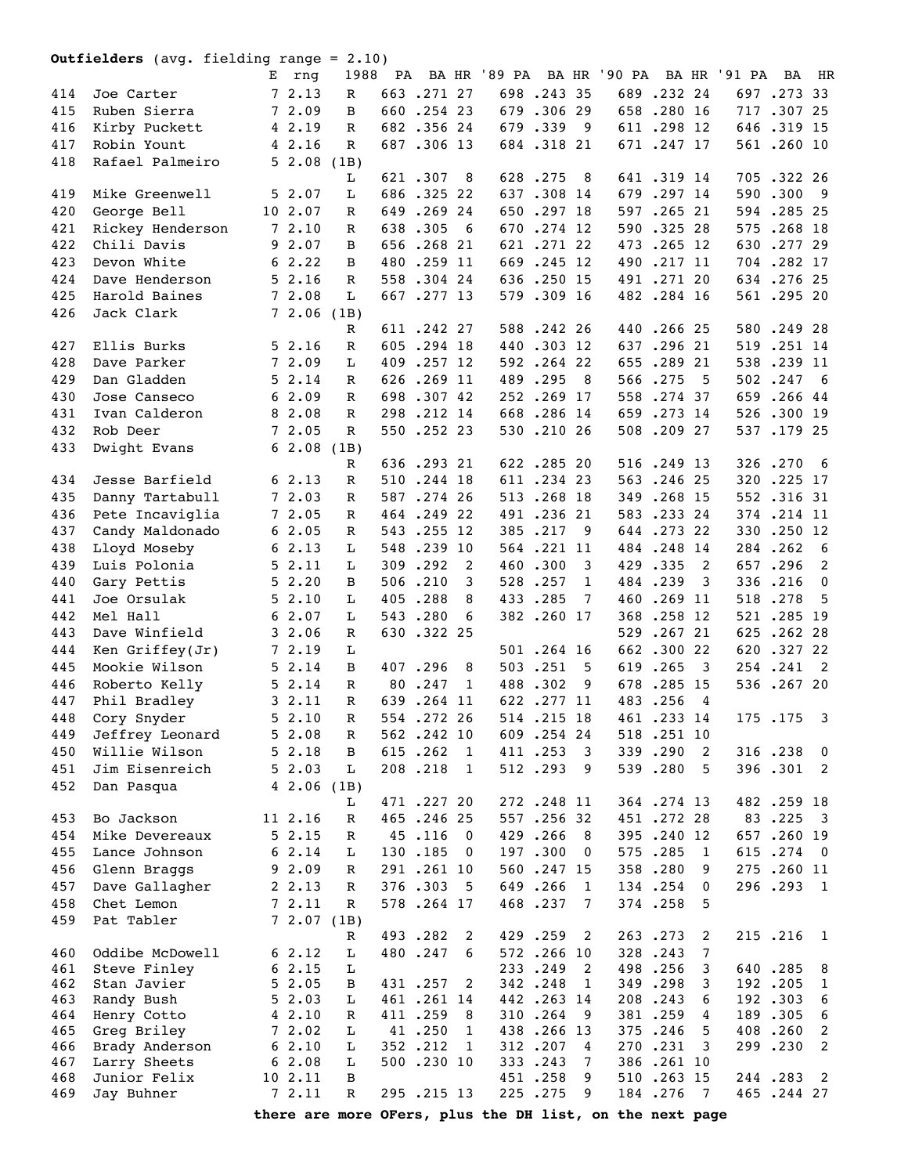|     | <b>Outfielders</b> (avg. fielding range = $2.10$ ) |   |              |              |     |             |                          |                                                          |            |                         |     |             |                         |              |            |                         |
|-----|----------------------------------------------------|---|--------------|--------------|-----|-------------|--------------------------|----------------------------------------------------------|------------|-------------------------|-----|-------------|-------------------------|--------------|------------|-------------------------|
|     |                                                    | Е | rng          | 1988         | PA  |             |                          | BA HR '89 PA BA HR '90 PA                                |            |                         |     |             |                         | BA HR '91 PA | BA         | HR                      |
| 414 | Joe Carter                                         |   | 72.13        | R            |     | 663.27127   |                          |                                                          | 698.243.35 |                         |     | 689.232.24  |                         |              | 697.273 33 |                         |
| 415 | Ruben Sierra                                       |   | 72.09        | B            |     | 660.254 23  |                          | 679                                                      | .306 29    |                         |     | 658.280 16  |                         |              | 717.30725  |                         |
| 416 | Kirby Puckett                                      |   | 4 2.19       | R            |     | 682.35624   |                          |                                                          | 679.339    | 9                       |     | 611 .298 12 |                         |              | 646.319 15 |                         |
| 417 | Robin Yount                                        |   | 42.16        | $\mathbb R$  |     | 687.306 13  |                          |                                                          | 684.31821  |                         |     | 671 .247 17 |                         |              | 561.260 10 |                         |
| 418 | Rafael Palmeiro                                    |   | 52.08        | (1B)         |     |             |                          |                                                          |            |                         |     |             |                         |              |            |                         |
|     |                                                    |   |              | L            |     | 621.307     | 8                        |                                                          | 628.275    | 8                       |     | 641.319 14  |                         |              | 705.322 26 |                         |
| 419 | Mike Greenwell                                     |   | 52.07        | L            |     | 686.32522   |                          |                                                          | 637.308 14 |                         | 679 | .297 14     |                         |              | 590.300    | - 9                     |
| 420 | George Bell                                        |   | 10 2.07      | R            |     | 649.26924   |                          | 650                                                      | .297 18    |                         | 597 | $.265$ 21   |                         |              | 594.28525  |                         |
| 421 | Rickey Henderson                                   |   | 72.10        | R            |     | 638.305     | - 6                      | 670                                                      | $.274$ 12  |                         | 590 | .325 28     |                         | 575          | .268 18    |                         |
| 422 | Chili Davis                                        |   | 92.07        | B            |     | 656.26821   |                          |                                                          | 621.27122  |                         | 473 | $.265$ 12   |                         | 630          | .277 29    |                         |
| 423 | Devon White                                        |   | 62.22        | B            | 480 | .259 11     |                          | 669                                                      | $.245$ 12  |                         | 490 | .21711      |                         |              | 704.282 17 |                         |
| 424 | Dave Henderson                                     |   | 52.16        | R            |     | 558.304 24  |                          |                                                          | 636.250 15 |                         | 491 | $.271$ 20   |                         |              | 634.27625  |                         |
| 425 | Harold Baines                                      |   | 72.08        | L            |     | 667.277 13  |                          |                                                          | 579.309 16 |                         |     | 482.284 16  |                         |              | 561.295 20 |                         |
| 426 | Jack Clark                                         |   | 72.06        | (1B)         |     |             |                          |                                                          |            |                         |     |             |                         |              |            |                         |
|     |                                                    |   |              | R            |     | 611.242.27  |                          |                                                          | 588.242.26 |                         |     | 440.266.25  |                         |              | 580.249.28 |                         |
| 427 | Ellis Burks                                        |   | 52.16        | R            |     | 605.294 18  |                          |                                                          | 440.303 12 |                         |     | 637.296 21  |                         |              | 519.251 14 |                         |
| 428 | Dave Parker                                        |   | 72.09        | L            |     | 409.257 12  |                          |                                                          | 592.26422  |                         | 655 | .289 21     |                         |              | 538.239 11 |                         |
| 429 | Dan Gladden                                        |   | 52.14        | R            |     | 626.269 11  |                          |                                                          | 489.295    | 8                       | 566 | .275        | - 5                     |              | 502.247    | - 6                     |
| 430 | Jose Canseco                                       |   | 62.09        | R            |     | 698.307 42  |                          |                                                          | 252.269 17 |                         | 558 | .274 37     |                         |              | 659.266 44 |                         |
| 431 | Ivan Calderon                                      |   | 8 2.08       | R            |     | 298.212 14  |                          |                                                          | 668.286 14 |                         | 659 | .273 14     |                         |              | 526.300 19 |                         |
| 432 | Rob Deer                                           |   | 72.05        | $\mathbb{R}$ |     | 550.252.23  |                          |                                                          | 530.21026  |                         |     | 508.209 27  |                         |              | 537.179 25 |                         |
| 433 | Dwight Evans                                       |   | 62.08        | (1B)         |     |             |                          |                                                          |            |                         |     |             |                         |              |            |                         |
|     |                                                    |   |              | R            |     | 636.29321   |                          |                                                          | 622.28520  |                         |     | 516.249 13  |                         |              | 326.270    | - 6                     |
| 434 | Jesse Barfield                                     |   | 62.13        | $\mathbb R$  |     | 510.244 18  |                          |                                                          | 611.23423  |                         |     | 563.24625   |                         |              | 320.225 17 |                         |
| 435 | Danny Tartabull                                    |   | 72.03        | $\mathbb R$  |     | 587.274 26  |                          |                                                          | 513.268 18 |                         | 349 | .268 15     |                         |              | 552.31631  |                         |
| 436 | Pete Incaviglia                                    |   | 72.05        | $\mathbb R$  |     | 464.24922   |                          |                                                          | 491.23621  |                         |     | 583.23324   |                         |              | 374.214 11 |                         |
| 437 | Candy Maldonado                                    |   | 62.05        | $\mathbb R$  |     | 543.255 12  |                          |                                                          | 385.217    | 9                       |     | 644.27322   |                         |              | 330.250 12 |                         |
| 438 | Lloyd Moseby                                       |   | 62.13        | L            |     | 548.239 10  |                          |                                                          | 564.221 11 |                         |     | 484.248 14  |                         |              | 284.262    | - 6                     |
| 439 | Luis Polonia                                       |   | 52.11        | L            |     | 309.292     | 2                        |                                                          | 460.300    | 3                       |     | 429.335     | 2                       |              | 657.296    | 2                       |
| 440 | Gary Pettis                                        |   | 52.20        | B            |     | 506.210     | 3                        |                                                          | 528.257    | 1                       |     | 484.239     | 3                       |              | 336.216    | $\mathbf{0}$            |
| 441 | Joe Orsulak                                        |   | 52.10        | L            |     | 405.288     | 8                        |                                                          | 433.285    | 7                       |     | 460.269 11  |                         |              | 518.278    | -5                      |
| 442 | Mel Hall                                           |   | 62.07        | L            |     | 543.280     | 6                        |                                                          | 382.260 17 |                         |     | 368.258 12  |                         |              | 521.285 19 |                         |
| 443 | Dave Winfield                                      |   | 32.06        | $\mathbb R$  |     | 630.322 25  |                          |                                                          |            |                         |     | 529.26721   |                         |              | 625.262.28 |                         |
| 444 | Ken $Griffey(Jr)$                                  |   | 72.19        | L            |     |             |                          |                                                          | 501.264 16 |                         |     | 662.30022   |                         |              | 620.32722  |                         |
| 445 | Mookie Wilson                                      |   | 52.14        | B            |     | 407.296     | 8                        |                                                          | 503.251    | 5                       |     | 619.265     | $\overline{\mathbf{3}}$ |              | 254.241    | $\overline{2}$          |
|     | 446 Roberto Kelly                                  |   | $5 \t2.14$   | $\mathbb{R}$ |     | 80.247 1    |                          |                                                          | 488.302 9  |                         |     | 678.285 15  |                         |              | 536.26720  |                         |
| 447 | Phil Bradley                                       |   | 32.11        | R            |     | 639.264 11  |                          |                                                          | 622.277 11 |                         |     | 483.256 4   |                         |              |            |                         |
| 448 | Cory Snyder                                        |   | 52.10        | R            |     | 554.272.26  |                          |                                                          | 514.215 18 |                         |     | 461 .233 14 |                         |              | 175.175    | $\overline{\mathbf{3}}$ |
| 449 | Jeffrey Leonard                                    |   | 52.08        | R            |     | 562.242 10  |                          |                                                          | 609.254 24 |                         |     | 518.251 10  |                         |              |            |                         |
| 450 | Willie Wilson                                      |   | 52.18        | B            |     | 615.262     | $\overline{1}$           |                                                          | 411.253    | 3                       |     | 339.290     | $\overline{2}$          |              | 316.238    | $\overline{0}$          |
| 451 | Jim Eisenreich                                     |   | 52.03        | L            |     | 208.218     | -1                       |                                                          | 512.293    | 9                       |     | 539.280     | -5                      |              | 396.301    | 2                       |
| 452 | Dan Pasqua                                         |   | $42.06$ (1B) |              |     |             |                          |                                                          |            |                         |     |             |                         |              |            |                         |
|     |                                                    |   |              | L            |     | 471 .227 20 |                          |                                                          | 272.248 11 |                         |     | 364.274 13  |                         |              | 482.259 18 |                         |
| 453 | Bo Jackson                                         |   | 11 2.16      | $\mathbb R$  |     | 465.246.25  |                          |                                                          | 557.256 32 |                         |     | 451.272.28  |                         |              | 83.225     | $\overline{\mathbf{3}}$ |
| 454 | Mike Devereaux                                     |   | 52.15        | $\mathbb R$  |     | 45.116      | $\overline{\mathbf{0}}$  |                                                          | 429.266    | -8                      |     | 395.240 12  |                         |              | 657.260 19 |                         |
| 455 | Lance Johnson                                      |   | 62.14        | L            |     | 130.185     | $\overline{\phantom{0}}$ |                                                          | 197.300    | $\overline{\mathbf{0}}$ |     | 575.285     | 1                       |              | 615.274    | $\overline{\mathbf{0}}$ |
| 456 | Glenn Braggs                                       |   | 92.09        | $\mathbb R$  |     | 291.261 10  |                          |                                                          | 560.247 15 |                         |     | 358.280     | 9                       |              | 275.260 11 |                         |
| 457 | Dave Gallagher                                     |   | 2, 2.13      | R            |     | 376.303     | - 5                      |                                                          | 649.266    | $\overline{1}$          |     | 134.254     | 0                       |              | 296.293 1  |                         |
| 458 | Chet Lemon                                         |   | 72.11        | $\mathbb R$  |     | 578.264 17  |                          |                                                          | 468.237    | 7                       |     | 374.258     | 5                       |              |            |                         |
| 459 | Pat Tabler                                         |   | 72.07(1B)    |              |     |             |                          |                                                          |            |                         |     |             |                         |              |            |                         |
|     |                                                    |   |              | R            |     | 493.282     | 2                        |                                                          | 429.259    | 2                       |     | 263.273     | 2                       |              | 215.216    | $\mathbf{1}$            |
| 460 | Oddibe McDowell                                    |   | 62.12        | L            |     | 480.247     | 6                        |                                                          | 572.266 10 |                         |     | 328.243     | 7                       |              |            |                         |
| 461 | Steve Finley                                       |   | 62.15        | L            |     |             |                          |                                                          | 233.249    | 2                       |     | 498.256     | 3                       |              | 640.285    | 8                       |
| 462 | Stan Javier                                        |   | 52.05        | B            |     | 431.257     | 2                        |                                                          | 342.248    | - 1                     |     | 349.298     | 3                       |              | 192.205    | $\mathbf{1}$            |
| 463 | Randy Bush                                         |   | 52.03        | L            |     | 461.261.14  |                          |                                                          | 442.263.14 |                         |     | 208.243     | 6                       |              | 192.303    | 6                       |
| 464 | Henry Cotto                                        |   | 42.10        | $\mathbb R$  |     | 411.259     | 8                        |                                                          | 310.264    | - 9                     |     | 381.259     | 4                       |              | 189.305    | 6                       |
| 465 | Greg Briley                                        |   | 72.02        | L            |     | 41.250      | $\mathbf{1}$             |                                                          | 438.266 13 |                         |     | 375.246     | 5                       |              | 408.260    | 2                       |
| 466 | Brady Anderson                                     |   | 62.10        | L            |     | 352.212     | $\overline{1}$           |                                                          | 312.207    | $\overline{4}$          |     | 270.231     | 3                       |              | 299.230    | 2                       |
| 467 | Larry Sheets                                       |   | 62.08        | L            |     | 500.230 10  |                          |                                                          | 333.243    | 7                       |     | 386.261 10  |                         |              |            |                         |
| 468 | Junior Felix                                       |   | 10 2.11      | B            |     |             |                          |                                                          | 451.258    | 9                       |     | 510.263 15  |                         |              | 244.283    | 2                       |
| 469 | Jay Buhner                                         |   | 7 2.11       | R            |     | 295.215 13  |                          |                                                          | 225.275    | 9                       |     | 184.276     | $\overline{7}$          |              | 465.244.27 |                         |
|     |                                                    |   |              |              |     |             |                          | there are more OFers, plus the DH list, on the next page |            |                         |     |             |                         |              |            |                         |